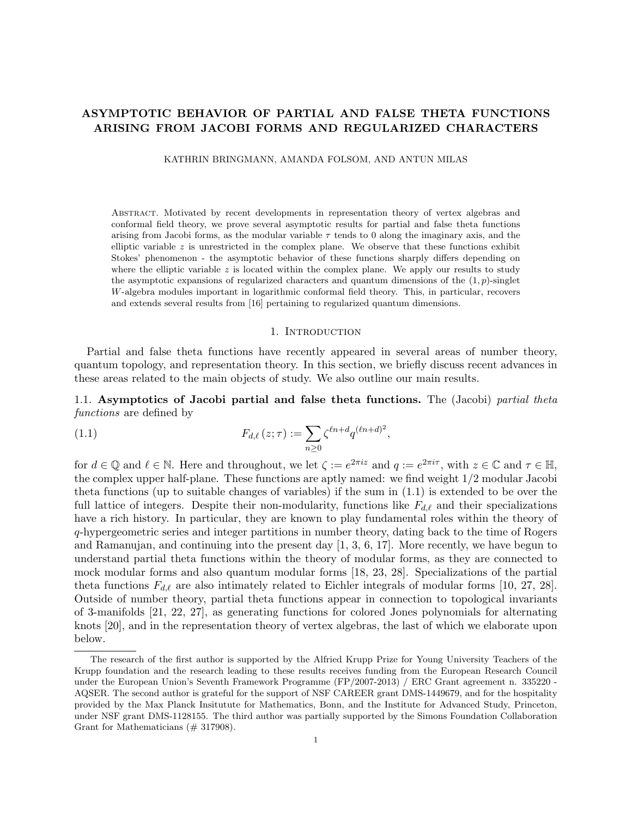# **ASYMPTOTIC BEHAVIOR OF PARTIAL AND FALSE THETA FUNCTIONS ARISING FROM JACOBI FORMS AND REGULARIZED CHARACTERS**

KATHRIN BRINGMANN, AMANDA FOLSOM, AND ANTUN MILAS

Abstract. Motivated by recent developments in representation theory of vertex algebras and conformal field theory, we prove several asymptotic results for partial and false theta functions arising from Jacobi forms, as the modular variable  $\tau$  tends to 0 along the imaginary axis, and the elliptic variable *z* is unrestricted in the complex plane. We observe that these functions exhibit Stokes' phenomenon - the asymptotic behavior of these functions sharply differs depending on where the elliptic variable  $z$  is located within the complex plane. We apply our results to study the asymptotic expansions of regularized characters and quantum dimensions of the (1*, p*)-singlet *W*-algebra modules important in logarithmic conformal field theory. This, in particular, recovers and extends several results from [16] pertaining to regularized quantum dimensions.

### 1. INTRODUCTION

Partial and false theta functions have recently appeared in several areas of number theory, quantum topology, and representation theory. In this section, we briefly discuss recent advances in these areas related to the main objects of study. We also outline our main results.

1.1. **Asymptotics of Jacobi partial and false theta functions.** The (Jacobi) *partial theta functions* are defined by

(1.1) 
$$
F_{d,\ell}(z;\tau) := \sum_{n\geq 0} \zeta^{\ell n + d} q^{(\ell n + d)^2},
$$

for  $d \in \mathbb{Q}$  and  $\ell \in \mathbb{N}$ . Here and throughout, we let  $\zeta := e^{2\pi i z}$  and  $q := e^{2\pi i \tau}$ , with  $z \in \mathbb{C}$  and  $\tau \in \mathbb{H}$ , the complex upper half-plane. These functions are aptly named: we find weight 1*/*2 modular Jacobi theta functions (up to suitable changes of variables) if the sum in (1.1) is extended to be over the full lattice of integers. Despite their non-modularity, functions like *Fd,ℓ* and their specializations have a rich history. In particular, they are known to play fundamental roles within the theory of *q*-hypergeometric series and integer partitions in number theory, dating back to the time of Rogers and Ramanujan, and continuing into the present day [1, 3, 6, 17]. More recently, we have begun to understand partial theta functions within the theory of modular forms, as they are connected to mock modular forms and also quantum modular forms [18, 23, 28]. Specializations of the partial theta functions  $F_{d,\ell}$  are also intimately related to Eichler integrals of modular forms [10, 27, 28]. Outside of number theory, partial theta functions appear in connection to topological invariants of 3-manifolds [21, 22, 27], as generating functions for colored Jones polynomials for alternating knots [20], and in the representation theory of vertex algebras, the last of which we elaborate upon below.

The research of the first author is supported by the Alfried Krupp Prize for Young University Teachers of the Krupp foundation and the research leading to these results receives funding from the European Research Council under the European Union's Seventh Framework Programme (FP/2007-2013) / ERC Grant agreement n. 335220 - AQSER. The second author is grateful for the support of NSF CAREER grant DMS-1449679, and for the hospitality provided by the Max Planck Insitutute for Mathematics, Bonn, and the Institute for Advanced Study, Princeton, under NSF grant DMS-1128155. The third author was partially supported by the Simons Foundation Collaboration Grant for Mathematicians (# 317908).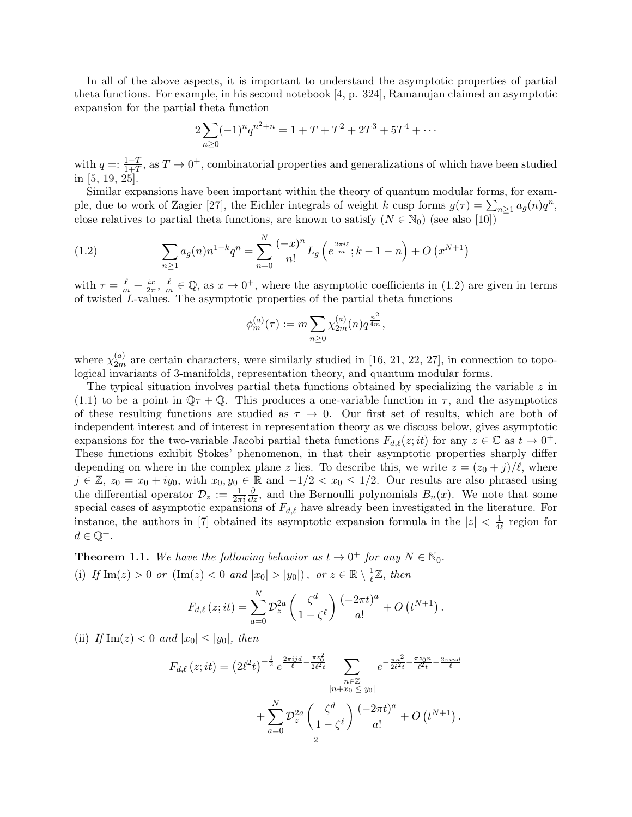In all of the above aspects, it is important to understand the asymptotic properties of partial theta functions. For example, in his second notebook [4, p. 324], Ramanujan claimed an asymptotic expansion for the partial theta function

$$
2\sum_{n\geq 0} (-1)^n q^{n^2+n} = 1 + T + T^2 + 2T^3 + 5T^4 + \cdots
$$

with  $q =: \frac{1-T}{1+T}$ , as  $T \to 0^+$ , combinatorial properties and generalizations of which have been studied in [5, 19, 25].

Similar expansions have been important within the theory of quantum modular forms, for example, due to work of Zagier [27], the Eichler integrals of weight *k* cusp forms  $g(\tau) = \sum_{n\geq 1} a_g(n)q^n$ , close relatives to partial theta functions, are known to satisfy  $(N \in \mathbb{N}_0)$  (see also [10])

(1.2) 
$$
\sum_{n\geq 1} a_g(n) n^{1-k} q^n = \sum_{n=0}^N \frac{(-x)^n}{n!} L_g\left(e^{\frac{2\pi i \ell}{m}}; k-1-n\right) + O\left(x^{N+1}\right)
$$

with  $\tau = \frac{\ell}{m} + \frac{ix}{2\pi}$  $\frac{ix}{2\pi}$ ,  $\frac{\ell}{m}$  $\frac{\ell}{m} \in \mathbb{Q}$ , as  $x \to 0^+$ , where the asymptotic coefficients in (1.2) are given in terms of twisted *L*-values. The asymptotic properties of the partial theta functions

$$
\phi_m^{(a)}(\tau) := m \sum_{n \geq 0} \chi_{2m}^{(a)}(n) q^{\frac{n^2}{4m}},
$$

where  $\chi_{2m}^{(a)}$  are certain characters, were similarly studied in [16, 21, 22, 27], in connection to topological invariants of 3-manifolds, representation theory, and quantum modular forms.

The typical situation involves partial theta functions obtained by specializing the variable *z* in (1.1) to be a point in  $\mathbb{Q}\tau + \mathbb{Q}$ . This produces a one-variable function in  $\tau$ , and the asymptotics of these resulting functions are studied as  $\tau \to 0$ . Our first set of results, which are both of independent interest and of interest in representation theory as we discuss below, gives asymptotic expansions for the two-variable Jacobi partial theta functions  $F_{d,\ell}(z;it)$  for any  $z \in \mathbb{C}$  as  $t \to 0^+$ . These functions exhibit Stokes' phenomenon, in that their asymptotic properties sharply differ depending on where in the complex plane *z* lies. To describe this, we write  $z = (z_0 + j)/\ell$ , where *j* ∈ Z,  $z_0 = x_0 + iy_0$ , with  $x_0, y_0 \in \mathbb{R}$  and  $-1/2 < x_0 \le 1/2$ . Our results are also phrased using the differential operator  $\mathcal{D}_z := \frac{1}{2\pi i}$ *∂*<sub>*∂z*</sub>, and the Bernoulli polynomials *B<sub>n</sub>*(*x*). We note that some special cases of asymptotic expansions of *Fd,ℓ* have already been investigated in the literature. For instance, the authors in [7] obtained its asymptotic expansion formula in the  $|z| < \frac{1}{4}$  $\frac{1}{4\ell}$  region for  $d \in \mathbb{Q}^+$ .

**Theorem 1.1.** We have the following behavior as  $t \to 0^+$  for any  $N \in \mathbb{N}_0$ . (i) *If*  $\text{Im}(z) > 0$  *or*  $(\text{Im}(z) < 0$  *and*  $|x_0| > |y_0|)$ *, or*  $z \in \mathbb{R} \setminus \frac{1}{\ell}$ *ℓ* Z*, then*

$$
F_{d,\ell}(z;it) = \sum_{a=0}^{N} \mathcal{D}_z^{2a} \left( \frac{\zeta^d}{1 - \zeta^{\ell}} \right) \frac{(-2\pi t)^a}{a!} + O(t^{N+1}).
$$

(ii) *If*  $\text{Im}(z) < 0$  *and*  $|x_0| \leq |y_0|$ *, then* 

$$
F_{d,\ell}(z;it) = (2\ell^2 t)^{-\frac{1}{2}} e^{\frac{2\pi i j d}{\ell} - \frac{\pi z_0^2}{2\ell^2 t}} \sum_{\substack{n \in \mathbb{Z} \\ |n+x_0| \le |y_0|}} e^{-\frac{\pi n^2}{2\ell^2 t} - \frac{\pi z_0 n}{\ell^2 t} - \frac{2\pi i n d}{\ell}} + \sum_{a=0}^N \mathcal{D}_z^{2a} \left(\frac{\zeta^d}{1 - \zeta^{\ell}}\right) \frac{(-2\pi t)^a}{a!} + O(t^{N+1}).
$$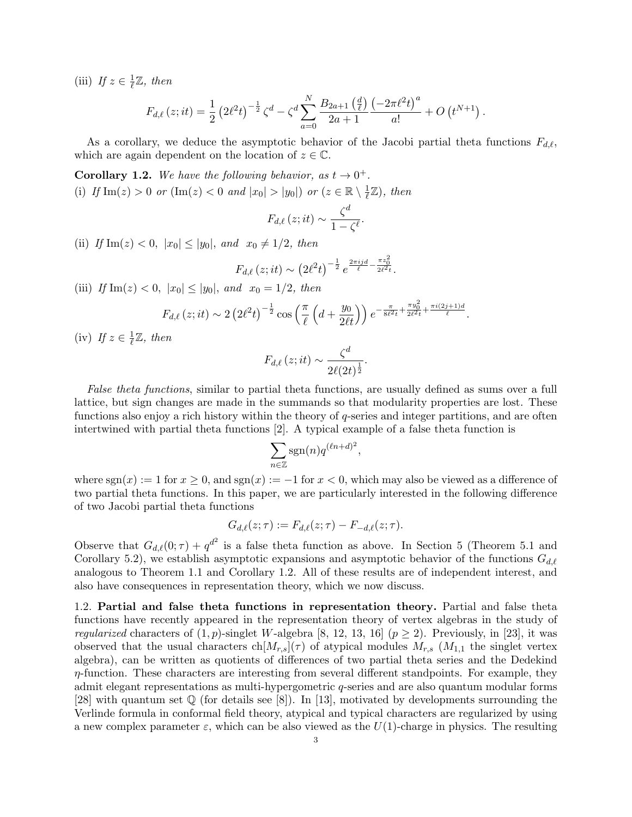(iii) *If*  $z \in \frac{1}{\ell}$ *ℓ* Z*, then*

$$
F_{d,\ell}(z;it) = \frac{1}{2} \left( 2\ell^2 t \right)^{-\frac{1}{2}} \zeta^d - \zeta^d \sum_{a=0}^N \frac{B_{2a+1} \left( \frac{d}{\ell} \right)}{2a+1} \frac{\left( -2\pi \ell^2 t \right)^a}{a!} + O\left( t^{N+1} \right).
$$

As a corollary, we deduce the asymptotic behavior of the Jacobi partial theta functions *Fd,ℓ*, which are again dependent on the location of  $z \in \mathbb{C}$ .

**Corollary 1.2.** We have the following behavior, as  $t \to 0^+$ . (i) *If*  $\text{Im}(z) > 0$  *or*  $(\text{Im}(z) < 0$  *and*  $|x_0| > |y_0|)$  *or*  $(z \in \mathbb{R} \setminus \frac{1}{\ell})$  $\frac{1}{\ell} \mathbb{Z}$ ), then

$$
F_{d,\ell}\left(z;it\right) \sim \frac{\zeta^d}{1-\zeta^{\ell}}.
$$

(ii) *If*  $\text{Im}(z) < 0$ ,  $|x_0| \le |y_0|$ , and  $x_0 \ne 1/2$ , then

$$
F_{d,\ell}(z;it) \sim (2\ell^2 t)^{-\frac{1}{2}} e^{\frac{2\pi i j d}{\ell} - \frac{\pi z_0^2}{2\ell^2 t}}.
$$

(iii) *If*  $\text{Im}(z) < 0$ ,  $|x_0| \le |y_0|$ , and  $x_0 = 1/2$ , then

$$
F_{d,\ell}(z;it) \sim 2\left(2\ell^2 t\right)^{-\frac{1}{2}} \cos\left(\frac{\pi}{\ell}\left(d+\frac{y_0}{2\ell t}\right)\right) e^{-\frac{\pi}{8\ell^2 t}+\frac{\pi y_0^2}{2\ell^2 t}+\frac{\pi i (2j+1)d}{\ell}}.
$$

 $(iv)$  *If*  $z \in \frac{1}{\ell}$ *ℓ* Z*, then*

$$
F_{d,\ell}\left(z;it\right) \sim \frac{\zeta^d}{2\ell(2t)^{\frac{1}{2}}}.
$$

*False theta functions*, similar to partial theta functions, are usually defined as sums over a full lattice, but sign changes are made in the summands so that modularity properties are lost. These functions also enjoy a rich history within the theory of *q*-series and integer partitions, and are often intertwined with partial theta functions [2]. A typical example of a false theta function is

$$
\sum_{n\in\mathbb{Z}}\operatorname{sgn}(n)q^{(\ell n+d)^2},
$$

where  $sgn(x) := 1$  for  $x \geq 0$ , and  $sgn(x) := -1$  for  $x < 0$ , which may also be viewed as a difference of two partial theta functions. In this paper, we are particularly interested in the following difference of two Jacobi partial theta functions

$$
G_{d,\ell}(z;\tau) := F_{d,\ell}(z;\tau) - F_{-d,\ell}(z;\tau).
$$

Observe that  $G_{d,\ell}(0;\tau) + q^{d^2}$  is a false theta function as above. In Section 5 (Theorem 5.1 and Corollary 5.2), we establish asymptotic expansions and asymptotic behavior of the functions *Gd,ℓ* analogous to Theorem 1.1 and Corollary 1.2. All of these results are of independent interest, and also have consequences in representation theory, which we now discuss.

1.2. **Partial and false theta functions in representation theory.** Partial and false theta functions have recently appeared in the representation theory of vertex algebras in the study of *regularized* characters of  $(1, p)$ -singlet *W*-algebra [8, 12, 13, 16]  $(p \geq 2)$ . Previously, in [23], it was observed that the usual characters  $\text{ch}[M_{r,s}](\tau)$  of atypical modules  $M_{r,s}$  ( $M_{1,1}$  the singlet vertex algebra), can be written as quotients of differences of two partial theta series and the Dedekind *η*-function. These characters are interesting from several different standpoints. For example, they admit elegant representations as multi-hypergometric *q*-series and are also quantum modular forms [28] with quantum set  $\mathbb Q$  (for details see [8]). In [13], motivated by developments surrounding the Verlinde formula in conformal field theory, atypical and typical characters are regularized by using a new complex parameter  $\varepsilon$ , which can be also viewed as the  $U(1)$ -charge in physics. The resulting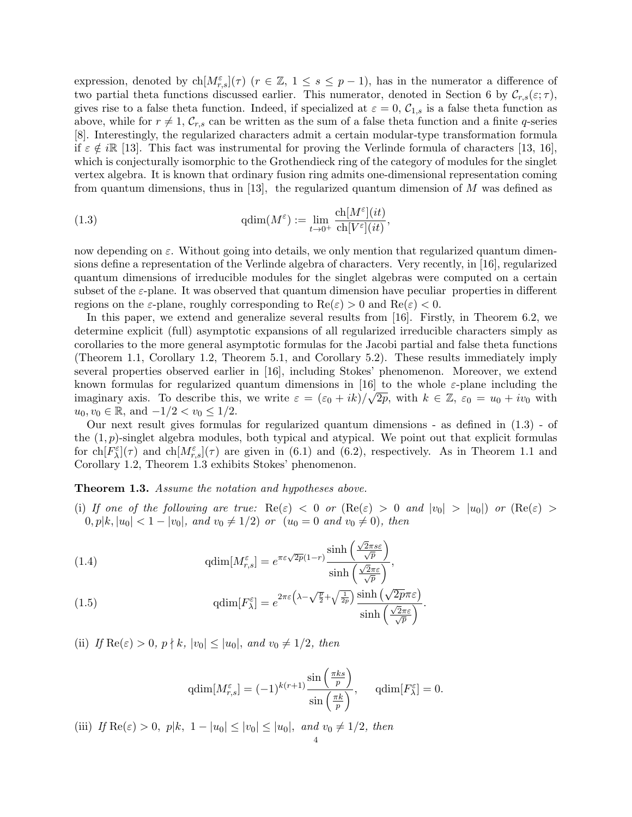expression, denoted by ch $[M_{r,s}^{\varepsilon}](\tau)$  ( $r \in \mathbb{Z}$ ,  $1 \leq s \leq p-1$ ), has in the numerator a difference of two partial theta functions discussed earlier. This numerator, denoted in Section 6 by  $\mathcal{C}_{r,s}(\varepsilon;\tau)$ , gives rise to a false theta function. Indeed, if specialized at  $\varepsilon = 0$ ,  $C_{1,s}$  is a false theta function as above, while for  $r \neq 1$ ,  $\mathcal{C}_{r,s}$  can be written as the sum of a false theta function and a finite *q*-series [8]. Interestingly, the regularized characters admit a certain modular-type transformation formula if  $\varepsilon \notin i\mathbb{R}$  [13]. This fact was instrumental for proving the Verlinde formula of characters [13, 16], which is conjecturally isomorphic to the Grothendieck ring of the category of modules for the singlet vertex algebra. It is known that ordinary fusion ring admits one-dimensional representation coming from quantum dimensions, thus in [13], the regularized quantum dimension of *M* was defined as

(1.3) 
$$
\mathrm{qdim}(M^{\varepsilon}) := \lim_{t \to 0^{+}} \frac{\mathrm{ch}[M^{\varepsilon}](it)}{\mathrm{ch}[V^{\varepsilon}](it)},
$$

now depending on *ε*. Without going into details, we only mention that regularized quantum dimensions define a representation of the Verlinde algebra of characters. Very recently, in [16], regularized quantum dimensions of irreducible modules for the singlet algebras were computed on a certain subset of the  $\varepsilon$ -plane. It was observed that quantum dimension have peculiar properties in different regions on the *ε*-plane, roughly corresponding to  $\text{Re}(\varepsilon) > 0$  and  $\text{Re}(\varepsilon) < 0$ .

In this paper, we extend and generalize several results from [16]. Firstly, in Theorem 6.2, we determine explicit (full) asymptotic expansions of all regularized irreducible characters simply as corollaries to the more general asymptotic formulas for the Jacobi partial and false theta functions (Theorem 1.1, Corollary 1.2, Theorem 5.1, and Corollary 5.2). These results immediately imply several properties observed earlier in [16], including Stokes' phenomenon. Moreover, we extend known formulas for regularized quantum dimensions in [16] to the whole *ε*-plane including the *√* imaginary axis. To describe this, we write  $\varepsilon = (\varepsilon_0 + ik)/\sqrt{2p}$ , with  $k \in \mathbb{Z}$ ,  $\varepsilon_0 = u_0 + iv_0$  with *u*<sub>0</sub>*, v*<sub>0</sub> ∈ ℝ*,* and  $-1/2 < v$ <sup>0</sup> ≤ 1/2.

Our next result gives formulas for regularized quantum dimensions - as defined in (1.3) - of the  $(1, p)$ -singlet algebra modules, both typical and atypical. We point out that explicit formulas for  $\text{ch}[F_{\lambda}^{\varepsilon}](\tau)$  and  $\text{ch}[M_{r,s}^{\varepsilon}](\tau)$  are given in (6.1) and (6.2), respectively. As in Theorem 1.1 and Corollary 1.2, Theorem 1.3 exhibits Stokes' phenomenon.

### **Theorem 1.3.** *Assume the notation and hypotheses above.*

(i) If one of the following are true:  $\text{Re}(\varepsilon) < 0$  or  $(\text{Re}(\varepsilon) > 0$  and  $|v_0| > |u_0|$  or  $(\text{Re}(\varepsilon) >$  $0, p|k, |u_0| < 1 - |v_0|, \text{ and } v_0 \neq 1/2 \text{ or } (u_0 = 0 \text{ and } v_0 \neq 0), \text{ then}$ 

(1.4) 
$$
\operatorname{qdim}[M^{\varepsilon}_{r,s}] = e^{\pi \varepsilon \sqrt{2p}(1-r)} \frac{\sinh\left(\frac{\sqrt{2}\pi s\varepsilon}{\sqrt{p}}\right)}{\sinh\left(\frac{\sqrt{2}\pi \varepsilon}{\sqrt{p}}\right)},
$$

(1.5) 
$$
\operatorname{qdim}[F_{\lambda}^{\varepsilon}] = e^{2\pi\varepsilon \left(\lambda - \sqrt{\frac{p}{2}} + \sqrt{\frac{1}{2p}}\right)} \frac{\sinh\left(\sqrt{2p}\pi\varepsilon\right)}{\sinh\left(\frac{\sqrt{2}\pi\varepsilon}{\sqrt{p}}\right)}.
$$

 $(iii)$  *If*  $\text{Re}(\varepsilon) > 0$ ,  $p \nmid k$ ,  $|v_0| \leq |u_0|$ , and  $v_0 \neq 1/2$ , then

$$
qdim[M_{r,s}^{\varepsilon}] = (-1)^{k(r+1)} \frac{\sin\left(\frac{\pi ks}{p}\right)}{\sin\left(\frac{\pi k}{p}\right)}, \quad qdim[F_{\lambda}^{\varepsilon}] = 0.
$$

(iii) *If*  $\text{Re}(\varepsilon) > 0$ ,  $p|k$ ,  $1 - |u_0| \leq |v_0| \leq |u_0|$ , and  $v_0 \neq 1/2$ , then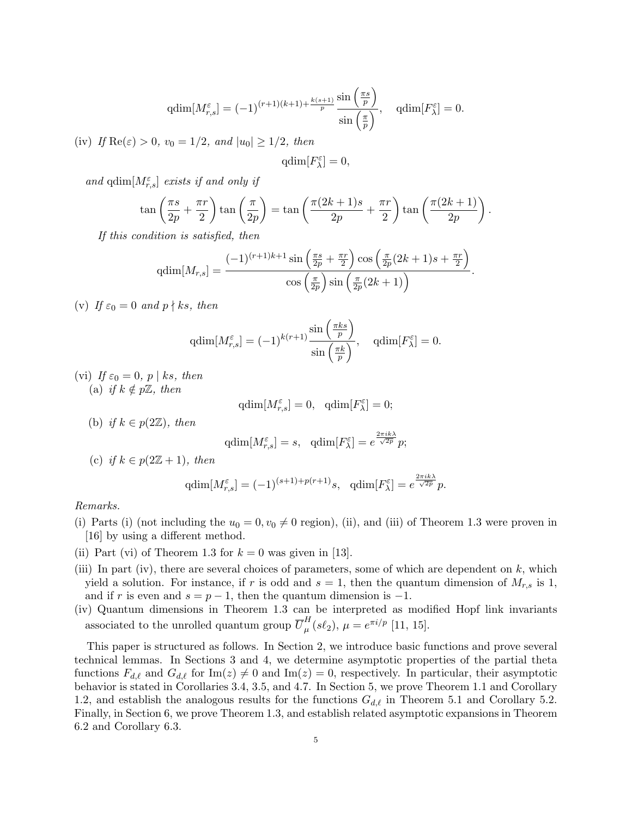$$
qdim[M_{r,s}^{\varepsilon}] = (-1)^{(r+1)(k+1) + \frac{k(s+1)}{p}} \frac{\sin\left(\frac{\pi s}{p}\right)}{\sin\left(\frac{\pi}{p}\right)}, \quad qdim[F_{\lambda}^{\varepsilon}] = 0.
$$

(iv) *If*  $\text{Re}(\varepsilon) > 0$ *,*  $v_0 = 1/2$ *, and*  $|u_0| \geq 1/2$ *, then* 

$$
{\rm qdim}[F_\lambda^\varepsilon]=0,
$$

*and*  $\text{qdim}[M_{r,s}^{\varepsilon}]$  *exists if and only if* 

$$
\tan\left(\frac{\pi s}{2p} + \frac{\pi r}{2}\right) \tan\left(\frac{\pi}{2p}\right) = \tan\left(\frac{\pi (2k+1)s}{2p} + \frac{\pi r}{2}\right) \tan\left(\frac{\pi (2k+1)}{2p}\right).
$$

*If this condition is satisfied, then*

$$
\text{qdim}[M_{r,s}] = \frac{(-1)^{(r+1)k+1}\sin\left(\frac{\pi s}{2p} + \frac{\pi r}{2}\right)\cos\left(\frac{\pi}{2p}(2k+1)s + \frac{\pi r}{2}\right)}{\cos\left(\frac{\pi}{2p}\right)\sin\left(\frac{\pi}{2p}(2k+1)\right)}.
$$

(v) If  $\varepsilon_0 = 0$  and  $p \nmid ks$ , then

$$
\text{qdim}[M_{r,s}^{\varepsilon}] = (-1)^{k(r+1)} \frac{\sin\left(\frac{\pi ks}{p}\right)}{\sin\left(\frac{\pi k}{p}\right)}, \quad \text{qdim}[F_{\lambda}^{\varepsilon}] = 0.
$$

(vi) If  $\varepsilon_0 = 0$ ,  $p \mid ks$ , then (a) *if*  $k \notin p\mathbb{Z}$ *, then* 

$$
\mathrm{qdim}[M^\varepsilon_{r,s}] = 0, \quad \mathrm{qdim}[F^\varepsilon_\lambda] = 0;
$$

(b) *if*  $k \in p(2\mathbb{Z})$ *, then* 

$$
\mathrm{qdim}[M_{r,s}^{\varepsilon}] = s, \quad \mathrm{qdim}[F_{\lambda}^{\varepsilon}] = e^{\frac{2\pi ik\lambda}{\sqrt{2p}}}p;
$$

(c) *if*  $k \in p(2\mathbb{Z}+1)$ *, then* 

$$
\operatorname{qdim}[M^{\varepsilon}_{r,s}] = (-1)^{(s+1)+p(r+1)}s, \quad \operatorname{qdim}[F^{\varepsilon}_{\lambda}] = e^{\frac{2\pi i k\lambda}{\sqrt{2p}}}p.
$$

### *Remarks.*

- (i) Parts (i) (not including the  $u_0 = 0, v_0 \neq 0$  region), (ii), and (iii) of Theorem 1.3 were proven in [16] by using a different method.
- (ii) Part (vi) of Theorem 1.3 for  $k = 0$  was given in [13].
- (iii) In part (iv), there are several choices of parameters, some of which are dependent on  $k$ , which yield a solution. For instance, if r is odd and  $s = 1$ , then the quantum dimension of  $M_{r,s}$  is 1, and if *r* is even and  $s = p - 1$ , then the quantum dimension is  $-1$ .
- (iv) Quantum dimensions in Theorem 1.3 can be interpreted as modified Hopf link invariants associated to the unrolled quantum group  $\overline{U}_\mu^H$  $\mu^H(\mathcal{S}\ell_2), \ \mu = e^{\pi i/p}$  [11, 15].

This paper is structured as follows. In Section 2, we introduce basic functions and prove several technical lemmas. In Sections 3 and 4, we determine asymptotic properties of the partial theta functions  $F_{d,\ell}$  and  $G_{d,\ell}$  for Im(*z*)  $\neq$  0 and Im(*z*) = 0, respectively. In particular, their asymptotic behavior is stated in Corollaries 3.4, 3.5, and 4.7. In Section 5, we prove Theorem 1.1 and Corollary 1.2, and establish the analogous results for the functions *Gd,ℓ* in Theorem 5.1 and Corollary 5.2. Finally, in Section 6, we prove Theorem 1.3, and establish related asymptotic expansions in Theorem 6.2 and Corollary 6.3.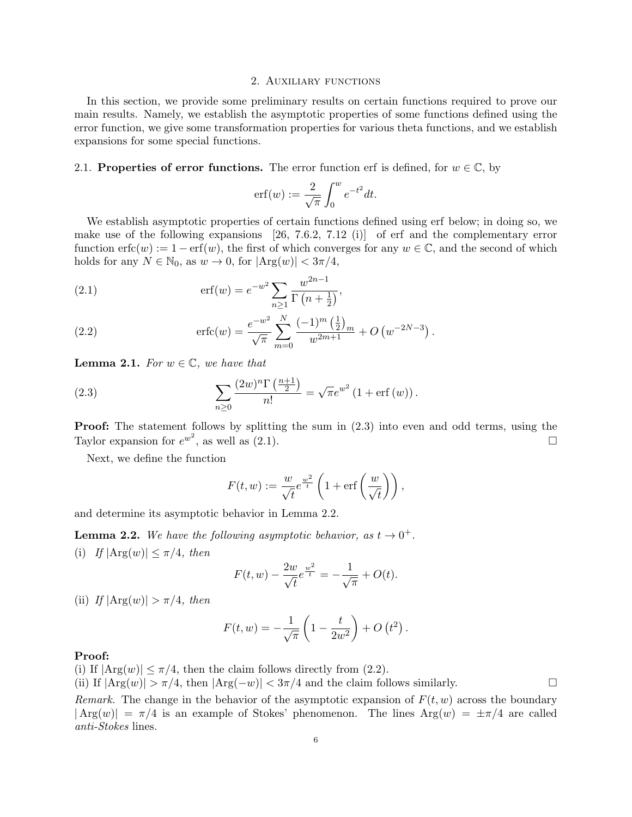#### 2. Auxiliary functions

In this section, we provide some preliminary results on certain functions required to prove our main results. Namely, we establish the asymptotic properties of some functions defined using the error function, we give some transformation properties for various theta functions, and we establish expansions for some special functions.

### 2.1. **Properties of error functions.** The error function erf is defined, for  $w \in \mathbb{C}$ , by

$$
\operatorname{erf}(w) := \frac{2}{\sqrt{\pi}} \int_0^w e^{-t^2} dt.
$$

We establish asymptotic properties of certain functions defined using erf below; in doing so, we make use of the following expansions [26, 7.6.2, 7.12 (i)] of erf and the complementary error function  $erfc(w) := 1 - erf(w)$ , the first of which converges for any  $w \in \mathbb{C}$ , and the second of which holds for any  $N \in \mathbb{N}_0$ , as  $w \to 0$ , for  $|Arg(w)| < 3\pi/4$ ,

(2.1) 
$$
\operatorname{erf}(w) = e^{-w^2} \sum_{n \ge 1} \frac{w^{2n-1}}{\Gamma(n + \frac{1}{2})},
$$

(2.2) 
$$
\operatorname{erfc}(w) = \frac{e^{-w^2}}{\sqrt{\pi}} \sum_{m=0}^{N} \frac{(-1)^m \left(\frac{1}{2}\right)_m}{w^{2m+1}} + O\left(w^{-2N-3}\right).
$$

**Lemma 2.1.** *For*  $w \in \mathbb{C}$ *, we have that* 

(2.3) 
$$
\sum_{n\geq 0} \frac{(2w)^n \Gamma\left(\frac{n+1}{2}\right)}{n!} = \sqrt{\pi} e^{w^2} \left(1 + \text{erf}(w)\right).
$$

**Proof:** The statement follows by splitting the sum in  $(2.3)$  into even and odd terms, using the Taylor expansion for  $e^{w^2}$ , as well as  $(2.1)$ .

Next, we define the function

$$
F(t, w) := \frac{w}{\sqrt{t}} e^{\frac{w^2}{t}} \left( 1 + \text{erf}\left(\frac{w}{\sqrt{t}}\right) \right),
$$

and determine its asymptotic behavior in Lemma 2.2.

**Lemma 2.2.** We have the following asymptotic behavior, as  $t \to 0^+$ . (i) *If*  $|\text{Arg}(w)| \leq \pi/4$ *, then* 

$$
F(t, w) - \frac{2w}{\sqrt{t}} e^{\frac{w^2}{t}} = -\frac{1}{\sqrt{\pi}} + O(t).
$$

(ii) *If*  $|\text{Arg}(w)| > \pi/4$ *, then* 

$$
F(t, w) = -\frac{1}{\sqrt{\pi}} \left( 1 - \frac{t}{2w^2} \right) + O(t^2) .
$$

### **Proof:**

(i) If  $|Arg(w)| \leq \pi/4$ , then the claim follows directly from (2.2).

(ii) If  $|Arg(w)| > \pi/4$ , then  $|Arg(-w)| < 3\pi/4$  and the claim follows similarly.

*Remark.* The change in the behavior of the asymptotic expansion of  $F(t, w)$  across the boundary  $|Arg(w)| = \pi/4$  is an example of Stokes' phenomenon. The lines  $Arg(w) = \pm \pi/4$  are called *anti-Stokes* lines.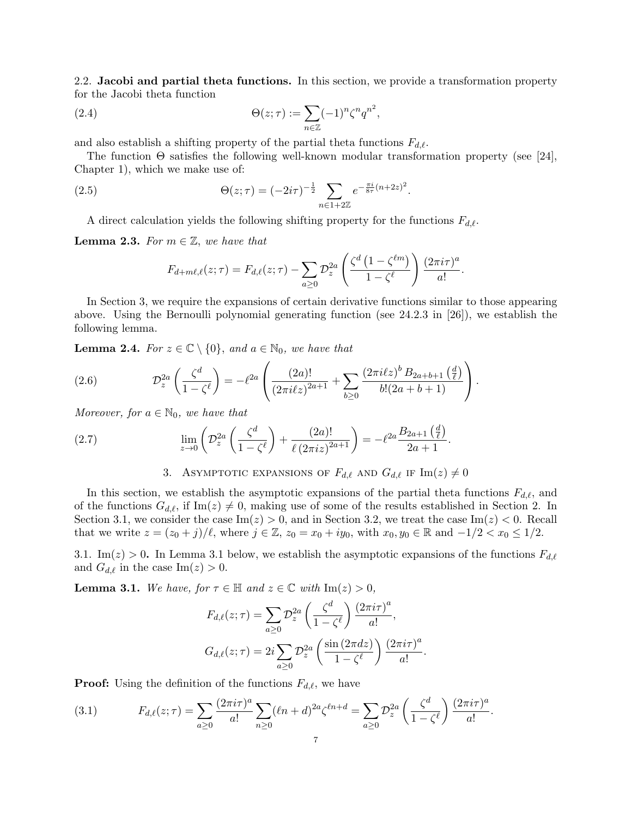2.2. **Jacobi and partial theta functions.** In this section, we provide a transformation property for the Jacobi theta function

(2.4) 
$$
\Theta(z;\tau) := \sum_{n\in\mathbb{Z}} (-1)^n \zeta^n q^{n^2},
$$

and also establish a shifting property of the partial theta functions *Fd,ℓ*.

The function  $\Theta$  satisfies the following well-known modular transformation property (see [24], Chapter 1), which we make use of:

(2.5) 
$$
\Theta(z;\tau) = (-2i\tau)^{-\frac{1}{2}} \sum_{n\in 1+2\mathbb{Z}} e^{-\frac{\pi i}{8\tau}(n+2z)^2}.
$$

A direct calculation yields the following shifting property for the functions *Fd,ℓ*.

**Lemma 2.3.** *For*  $m \in \mathbb{Z}$ *, we have that* 

$$
F_{d+m\ell,\ell}(z;\tau) = F_{d,\ell}(z;\tau) - \sum_{a\geq 0} \mathcal{D}_z^{2a} \left( \frac{\zeta^d \left(1 - \zeta^{\ell m}\right)}{1 - \zeta^{\ell}} \right) \frac{(2\pi i \tau)^a}{a!}.
$$

In Section 3, we require the expansions of certain derivative functions similar to those appearing above. Using the Bernoulli polynomial generating function (see 24.2.3 in [26]), we establish the following lemma.

**Lemma 2.4.** *For*  $z \in \mathbb{C} \setminus \{0\}$ *, and*  $a \in \mathbb{N}_0$ *, we have that* 

(2.6) 
$$
\mathcal{D}_z^{2a}\left(\frac{\zeta^d}{1-\zeta^{\ell}}\right) = -\ell^{2a}\left(\frac{(2a)!}{(2\pi i\ell z)^{2a+1}} + \sum_{b\geq 0} \frac{(2\pi i\ell z)^b B_{2a+b+1}\left(\frac{d}{\ell}\right)}{b!(2a+b+1)}\right).
$$

*Moreover, for*  $a \in \mathbb{N}_0$ *, we have that* 

(2.7) 
$$
\lim_{z \to 0} \left( \mathcal{D}_z^{2a} \left( \frac{\zeta^d}{1 - \zeta^{\ell}} \right) + \frac{(2a)!}{\ell (2\pi i z)^{2a+1}} \right) = -\ell^{2a} \frac{B_{2a+1} \left( \frac{d}{\ell} \right)}{2a+1}.
$$

3. ASYMPTOTIC EXPANSIONS OF  $F_{d,\ell}$  AND  $G_{d,\ell}$  IF  $\text{Im}(z) \neq 0$ 

In this section, we establish the asymptotic expansions of the partial theta functions  $F_{d,\ell}$ , and of the functions  $G_{d,\ell}$ , if Im(*z*)  $\neq$  0, making use of some of the results established in Section 2. In Section 3.1, we consider the case  $\text{Im}(z) > 0$ , and in Section 3.2, we treat the case  $\text{Im}(z) < 0$ . Recall that we write  $z = (z_0 + j)/\ell$ , where  $j \in \mathbb{Z}$ ,  $z_0 = x_0 + iy_0$ , with  $x_0, y_0 \in \mathbb{R}$  and  $-1/2 < x_0 \le 1/2$ .

3.1. Im( $z$ ) > 0. In Lemma 3.1 below, we establish the asymptotic expansions of the functions  $F_{d,\ell}$ and  $G_{d,\ell}$  in the case  $\text{Im}(z) > 0$ .

**Lemma 3.1.** *We have, for*  $\tau \in \mathbb{H}$  *and*  $z \in \mathbb{C}$  *with*  $\text{Im}(z) > 0$ *,* 

$$
F_{d,\ell}(z;\tau) = \sum_{a\geq 0} \mathcal{D}_z^{2a} \left(\frac{\zeta^d}{1-\zeta^{\ell}}\right) \frac{\left(2\pi i\tau\right)^a}{a!},
$$
  

$$
G_{d,\ell}(z;\tau) = 2i \sum_{a\geq 0} \mathcal{D}_z^{2a} \left(\frac{\sin\left(2\pi dz\right)}{1-\zeta^{\ell}}\right) \frac{\left(2\pi i\tau\right)^a}{a!}.
$$

**Proof:** Using the definition of the functions  $F_{d,\ell}$ , we have

(3.1) 
$$
F_{d,\ell}(z;\tau) = \sum_{a\geq 0} \frac{(2\pi i\tau)^a}{a!} \sum_{n\geq 0} (\ell n+d)^{2a} \zeta^{\ell n+d} = \sum_{a\geq 0} \mathcal{D}_z^{2a} \left(\frac{\zeta^d}{1-\zeta^{\ell}}\right) \frac{(2\pi i\tau)^a}{a!}.
$$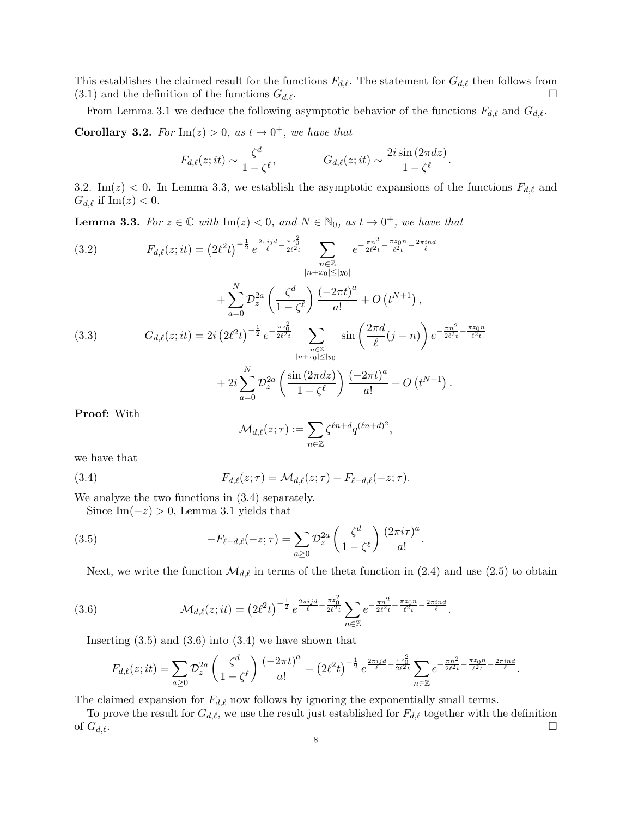This establishes the claimed result for the functions  $F_{d,\ell}$ . The statement for  $G_{d,\ell}$  then follows from  $(3.1)$  and the definition of the functions  $G_{d,\ell}$ .

From Lemma 3.1 we deduce the following asymptotic behavior of the functions  $F_{d,\ell}$  and  $G_{d,\ell}$ .

**Corollary 3.2.** For  $\text{Im}(z) > 0$ , as  $t \to 0^+$ , we have that

$$
F_{d,\ell}(z;it) \sim \frac{\zeta^d}{1-\zeta^{\ell}}, \qquad G_{d,\ell}(z;it) \sim \frac{2i\sin(2\pi dz)}{1-\zeta^{\ell}}.
$$

3.2. Im(*z*)  $<$  0. In Lemma 3.3, we establish the asymptotic expansions of the functions  $F_{d,\ell}$  and  $G_{d,\ell}$  if Im(*z*) < 0.

**Lemma 3.3.** For  $z \in \mathbb{C}$  with  $\text{Im}(z) < 0$ , and  $N \in \mathbb{N}_0$ , as  $t \to 0^+$ , we have that

(3.2) 
$$
F_{d,\ell}(z;it) = (2\ell^2 t)^{-\frac{1}{2}} e^{\frac{2\pi i j d}{\ell} - \frac{\pi z_0^2}{2\ell^2 t}} \sum_{\substack{n \in \mathbb{Z} \\ |n+x_0| \le |y_0|}} e^{-\frac{\pi n^2}{2\ell^2 t} - \frac{\pi z_0 n}{\ell^2 t} - \frac{2\pi i nd}{\ell}}
$$

$$
+ \sum_{a=0}^N \mathcal{D}_z^{2a} \left(\frac{\zeta^d}{1 - \zeta^\ell}\right) \frac{(-2\pi t)^a}{a!} + O(t^{N+1}),
$$
  
(3.3) 
$$
G_{d,\ell}(z;it) = 2i (2\ell^2 t)^{-\frac{1}{2}} e^{-\frac{\pi z_0^2}{2\ell^2 t}} \sum_{\substack{n \in \mathbb{Z} \\ |n+x_0| \le |y_0| \\ n+x_0| \le |y_0|}} \sin\left(\frac{2\pi d}{\ell}(j-n)\right) e^{-\frac{\pi n^2}{2\ell^2 t} - \frac{\pi z_0 n}{\ell^2 t}}
$$

$$
+ 2i \sum_{a=0}^N \mathcal{D}_z^{2a} \left(\frac{\sin(2\pi dz)}{1 - \zeta^\ell}\right) \frac{(-2\pi t)^a}{a!} + O(t^{N+1}).
$$

**Proof:** With

$$
\mathcal{M}_{d,\ell}(z;\tau) := \sum_{n \in \mathbb{Z}} \zeta^{\ell n + d} q^{(\ell n + d)^2},
$$

we have that

(3.4) 
$$
F_{d,\ell}(z;\tau) = \mathcal{M}_{d,\ell}(z;\tau) - F_{\ell-d,\ell}(-z;\tau).
$$

We analyze the two functions in (3.4) separately.

Since Im( $-z$ ) > 0, Lemma 3.1 yields that

(3.5) 
$$
-F_{\ell-d,\ell}(-z;\tau) = \sum_{a\geq 0} \mathcal{D}_z^{2a} \left(\frac{\zeta^d}{1-\zeta^{\ell}}\right) \frac{(2\pi i\tau)^a}{a!}.
$$

Next, we write the function  $\mathcal{M}_{d,\ell}$  in terms of the theta function in (2.4) and use (2.5) to obtain

(3.6) 
$$
\mathcal{M}_{d,\ell}(z;it) = (2\ell^2 t)^{-\frac{1}{2}} e^{\frac{2\pi i j d}{\ell} - \frac{\pi z_0^2}{2\ell^2 t}} \sum_{n \in \mathbb{Z}} e^{-\frac{\pi n^2}{2\ell^2 t} - \frac{\pi z_0 n}{\ell^2 t} - \frac{2\pi i n d}{\ell}}.
$$

Inserting  $(3.5)$  and  $(3.6)$  into  $(3.4)$  we have shown that

$$
F_{d,\ell}(z;it) = \sum_{a\geq 0} \mathcal{D}_z^{2a} \left(\frac{\zeta^d}{1-\zeta^{\ell}}\right) \frac{(-2\pi t)^a}{a!} + \left(2\ell^2 t\right)^{-\frac{1}{2}} e^{\frac{2\pi i j d}{\ell} - \frac{\pi z_0^2}{2\ell^2 t}} \sum_{n\in\mathbb{Z}} e^{-\frac{\pi n^2}{2\ell^2 t} - \frac{\pi z_0 n}{\ell^2 t} - \frac{2\pi i nd}{\ell}}.
$$

The claimed expansion for *Fd,ℓ* now follows by ignoring the exponentially small terms.

To prove the result for  $G_{d,\ell}$ , we use the result just established for  $F_{d,\ell}$  together with the definition of  $G_{d,\ell}$ .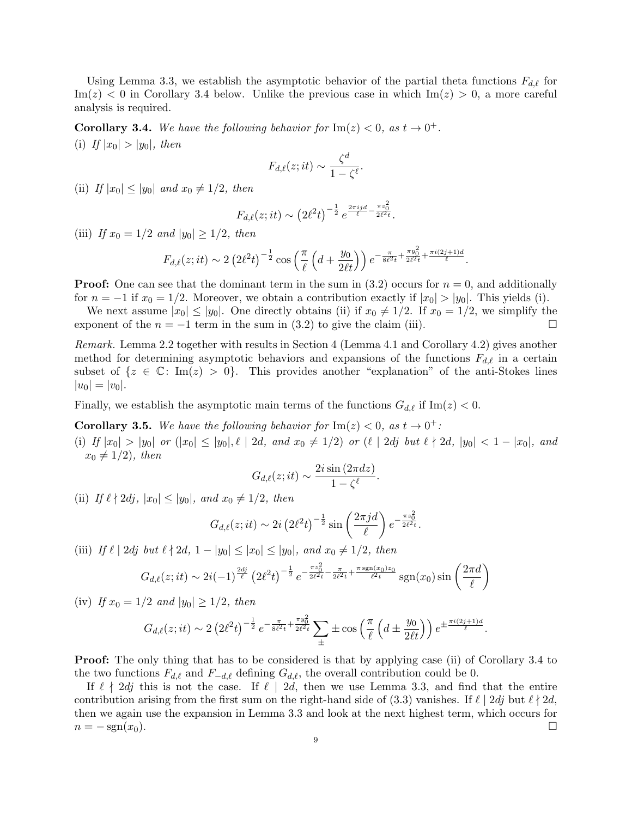Using Lemma 3.3, we establish the asymptotic behavior of the partial theta functions *Fd,ℓ* for  $Im(z)$  < 0 in Corollary 3.4 below. Unlike the previous case in which  $Im(z) > 0$ , a more careful analysis is required.

**Corollary 3.4.** We have the following behavior for  $\text{Im}(z) < 0$ , as  $t \to 0^+$ . (i) If  $|x_0| > |y_0|$ *, then* 

$$
F_{d,\ell}(z;it) \sim \frac{\zeta^d}{1-\zeta^{\ell}}.
$$

(ii) *If*  $|x_0| \le |y_0|$  *and*  $x_0 \ne 1/2$ *, then* 

$$
F_{d,\ell}(z;it) \sim \left(2\ell^2 t\right)^{-\frac{1}{2}} e^{\frac{2\pi ij}{\ell} - \frac{\pi z_0^2}{2\ell^2 t}}.
$$

(iii) *If*  $x_0 = 1/2$  *and*  $|y_0| \ge 1/2$ *, then* 

$$
F_{d,\ell}(z;it) \sim 2\left(2\ell^2 t\right)^{-\frac{1}{2}} \cos\left(\frac{\pi}{\ell}\left(d+\frac{y_0}{2\ell t}\right)\right) e^{-\frac{\pi}{8\ell^2 t} + \frac{\pi y_0^2}{2\ell^2 t} + \frac{\pi i (2j+1)d}{\ell}}.
$$

**Proof:** One can see that the dominant term in the sum in  $(3.2)$  occurs for  $n = 0$ , and additionally for  $n = -1$  if  $x_0 = 1/2$ . Moreover, we obtain a contribution exactly if  $|x_0| > |y_0|$ . This yields (i).

We next assume  $|x_0| \le |y_0|$ . One directly obtains (ii) if  $x_0 \ne 1/2$ . If  $x_0 = 1/2$ , we simplify the exponent of the  $n = -1$  term in the sum in (3.2) to give the claim (iii).

*Remark.* Lemma 2.2 together with results in Section 4 (Lemma 4.1 and Corollary 4.2) gives another method for determining asymptotic behaviors and expansions of the functions *Fd,ℓ* in a certain subset of  $\{z \in \mathbb{C} : \text{Im}(z) > 0\}$ . This provides another "explanation" of the anti-Stokes lines  $|u_0| = |v_0|$ .

Finally, we establish the asymptotic main terms of the functions  $G_{d,\ell}$  if Im(*z*) < 0.

**Corollary 3.5.** We have the following behavior for  $\text{Im}(z) < 0$ , as  $t \to 0^+$ :

(i) If  $|x_0| > |y_0|$  or  $(|x_0| \le |y_0|, \ell \mid 2d,$  and  $x_0 \neq 1/2$  or  $(\ell \mid 2dj$  but  $\ell \nmid 2d, |y_0| < 1 - |x_0|,$  and  $x_0 \neq 1/2$ *), then* 

$$
G_{d,\ell}(z;it) \sim \frac{2i\sin{(2\pi dz)}}{1-\zeta^{\ell}}
$$

*.*

 $(iii)$  *If*  $\ell \nmid 2dj, |x_0| \le |y_0|, \text{ and } x_0 \neq 1/2, \text{ then}$ 

$$
G_{d,\ell}(z;it) \sim 2i \left(2\ell^2 t\right)^{-\frac{1}{2}} \sin\left(\frac{2\pi j d}{\ell}\right) e^{-\frac{\pi z_0^2}{2\ell^2 t}}.
$$

(iii) *If*  $\ell$  | 2*dj but*  $\ell$   $\nmid$  2*d*, 1 − |*y*<sub>0</sub>|  $\leq$  |*x*<sub>0</sub>|  $\leq$  |*y*<sub>0</sub>|, and  $x_0 \neq 1/2$ , then

$$
G_{d,\ell}(z;it) \sim 2i(-1)^{\frac{2dj}{\ell}} \left(2\ell^2 t\right)^{-\frac{1}{2}} e^{-\frac{\pi z_0^2}{2\ell^2 t} - \frac{\pi}{2\ell^2 t} + \frac{\pi \operatorname{sgn}(x_0) z_0}{\ell^2 t}} \operatorname{sgn}(x_0) \sin\left(\frac{2\pi d}{\ell}\right)
$$

(iv) *If*  $x_0 = 1/2$  *and*  $|y_0| > 1/2$ *, then* 

$$
G_{d,\ell}(z;it) \sim 2\left(2\ell^2 t\right)^{-\frac{1}{2}} e^{-\frac{\pi}{8\ell^2 t} + \frac{\pi y_0^2}{2\ell^2 t}} \sum_{\pm} \pm \cos\left(\frac{\pi}{\ell} \left(d \pm \frac{y_0}{2\ell t}\right)\right) e^{\pm \frac{\pi i (2j+1)d}{\ell}}.
$$

**Proof:** The only thing that has to be considered is that by applying case (ii) of Corollary 3.4 to the two functions  $F_{d,\ell}$  and  $F_{-\ell,\ell}$  defining  $G_{d,\ell}$ , the overall contribution could be 0.

If  $\ell \nmid 2dj$  this is not the case. If  $\ell \mid 2d$ , then we use Lemma 3.3, and find that the entire contribution arising from the first sum on the right-hand side of (3.3) vanishes. If  $\ell \mid 2dj$  but  $\ell \nmid 2d$ , then we again use the expansion in Lemma 3.3 and look at the next highest term, which occurs for  $n = -\operatorname{sgn}(x_0).$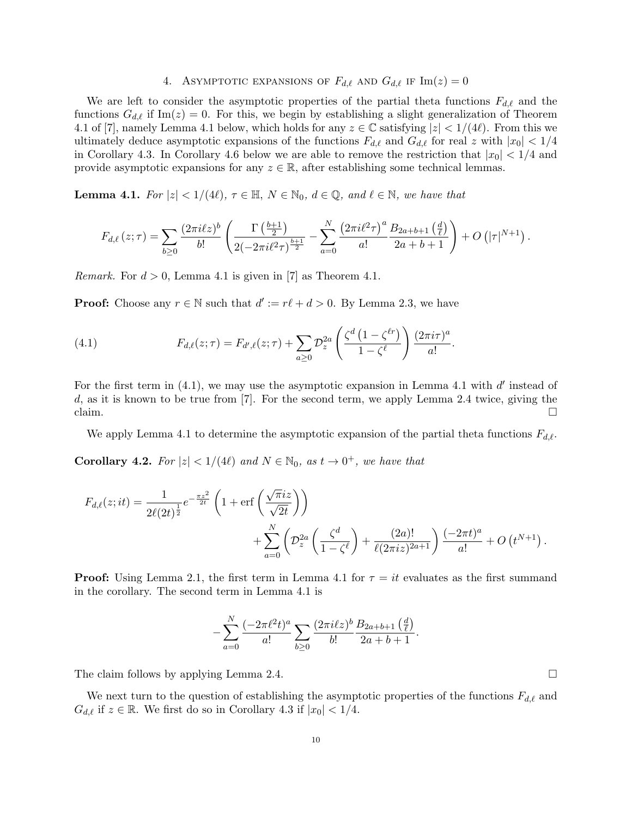# 4. ASYMPTOTIC EXPANSIONS OF  $F_{d,\ell}$  and  $G_{d,\ell}$  if  $\text{Im}(z) = 0$

We are left to consider the asymptotic properties of the partial theta functions  $F_{d,\ell}$  and the functions  $G_{d,\ell}$  if Im(*z*) = 0. For this, we begin by establishing a slight generalization of Theorem 4.1 of [7], namely Lemma 4.1 below, which holds for any  $z \in \mathbb{C}$  satisfying  $|z| < 1/(4\ell)$ . From this we ultimately deduce asymptotic expansions of the functions  $F_{d,\ell}$  and  $G_{d,\ell}$  for real *z* with  $|x_0| < 1/4$ in Corollary 4.3. In Corollary 4.6 below we are able to remove the restriction that  $|x_0| < 1/4$  and provide asymptotic expansions for any  $z \in \mathbb{R}$ , after establishing some technical lemmas.

**Lemma 4.1.** *For*  $|z| < 1/(4\ell)$ ,  $\tau \in \mathbb{H}$ ,  $N \in \mathbb{N}_0$ ,  $d \in \mathbb{Q}$ , and  $\ell \in \mathbb{N}$ , we have that

$$
F_{d,\ell}(z;\tau) = \sum_{b\geq 0} \frac{(2\pi i\ell z)^b}{b!} \left( \frac{\Gamma\left(\frac{b+1}{2}\right)}{2\left(-2\pi i\ell^2\tau\right)^{\frac{b+1}{2}}} - \sum_{a=0}^N \frac{\left(2\pi i\ell^2\tau\right)^a B_{2a+b+1}\left(\frac{d}{\ell}\right)}{a!} \right) + O\left(|\tau|^{N+1}\right).
$$

*Remark.* For  $d > 0$ , Lemma 4.1 is given in [7] as Theorem 4.1.

**Proof:** Choose any  $r \in \mathbb{N}$  such that  $d' := r\ell + d > 0$ . By Lemma 2.3, we have

(4.1) 
$$
F_{d,\ell}(z;\tau) = F_{d',\ell}(z;\tau) + \sum_{a\geq 0} \mathcal{D}_z^{2a} \left( \frac{\zeta^d \left(1 - \zeta^{\ell r}\right)}{1 - \zeta^{\ell}} \right) \frac{(2\pi i \tau)^a}{a!}.
$$

For the first term in  $(4.1)$ , we may use the asymptotic expansion in Lemma 4.1 with *d'* instead of *d*, as it is known to be true from [7]. For the second term, we apply Lemma 2.4 twice, giving the claim.  $\Box$ 

We apply Lemma 4.1 to determine the asymptotic expansion of the partial theta functions *Fd,ℓ*.

**Corollary 4.2.** For  $|z| < 1/(4\ell)$  and  $N \in \mathbb{N}_0$ , as  $t \to 0^+$ , we have that

$$
F_{d,\ell}(z;it) = \frac{1}{2\ell(2t)^{\frac{1}{2}}} e^{-\frac{\pi z^2}{2t}} \left( 1 + \text{erf}\left(\frac{\sqrt{\pi}iz}{\sqrt{2t}}\right) \right)
$$
  
+ 
$$
\sum_{a=0}^{N} \left( \mathcal{D}_z^{2a} \left(\frac{\zeta^d}{1 - \zeta^{\ell}}\right) + \frac{(2a)!}{\ell(2\pi iz)^{2a+1}} \right) \frac{(-2\pi t)^a}{a!} + O\left(t^{N+1}\right).
$$

**Proof:** Using Lemma 2.1, the first term in Lemma 4.1 for  $\tau = it$  evaluates as the first summand in the corollary. The second term in Lemma 4.1 is

$$
-\sum_{a=0}^N \frac{(-2\pi \ell^2 t)^a}{a!} \sum_{b\geq 0} \frac{(2\pi i\ell z)^b}{b!} \frac{B_{2a+b+1}(\frac{d}{\ell})}{2a+b+1}.
$$

The claim follows by applying Lemma 2.4.  $\Box$ 

We next turn to the question of establishing the asymptotic properties of the functions *Fd,ℓ* and  $G_{d,\ell}$  if  $z \in \mathbb{R}$ . We first do so in Corollary 4.3 if  $|x_0| < 1/4$ .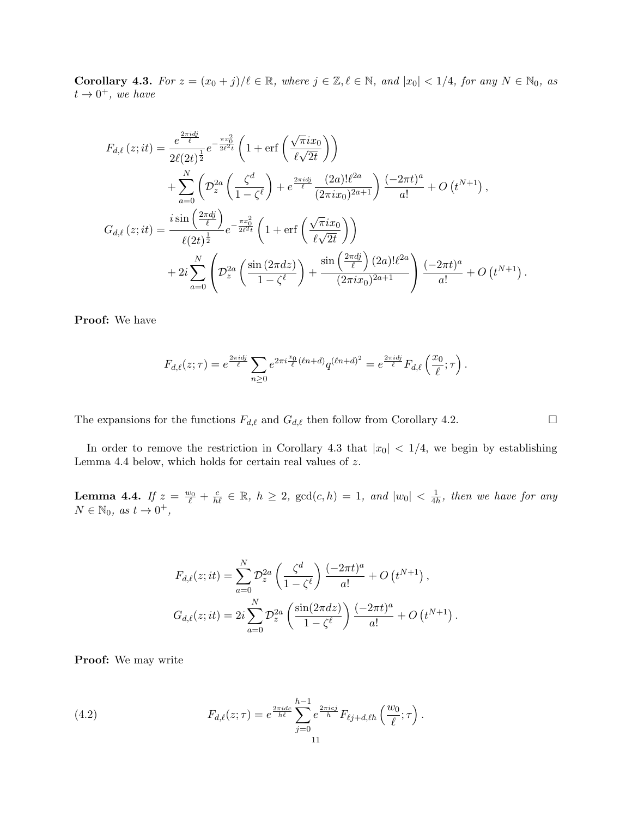**Corollary 4.3.** For  $z = (x_0 + j)/\ell \in \mathbb{R}$ , where  $j \in \mathbb{Z}, \ell \in \mathbb{N}$ , and  $|x_0| < 1/4$ , for any  $N \in \mathbb{N}_0$ , as  $t \rightarrow 0^+,$  we have

$$
F_{d,\ell}(z;it) = \frac{e^{\frac{2\pi idj}{\ell}}}{2\ell(2t)^{\frac{1}{2}}} e^{-\frac{\pi x_0^2}{2\ell^2 t}} \left(1 + \text{erf}\left(\frac{\sqrt{\pi}ix_0}{\ell\sqrt{2t}}\right)\right)
$$
  
+ 
$$
\sum_{a=0}^{N} \left(\mathcal{D}_z^{2a}\left(\frac{\zeta^d}{1 - \zeta^{\ell}}\right) + e^{\frac{2\pi idj}{\ell}}\frac{(2a)!\ell^{2a}}{(2\pi ix_0)^{2a+1}}\right) \frac{(-2\pi t)^a}{a!} + O(t^{N+1}),
$$
  

$$
G_{d,\ell}(z;it) = \frac{i \sin\left(\frac{2\pi dj}{\ell}\right)}{\ell(2t)^{\frac{1}{2}}} e^{-\frac{\pi x_0^2}{2\ell^2 t}} \left(1 + \text{erf}\left(\frac{\sqrt{\pi}ix_0}{\ell\sqrt{2t}}\right)\right)
$$
  
+ 
$$
2i \sum_{a=0}^{N} \left(\mathcal{D}_z^{2a}\left(\frac{\sin(2\pi dz)}{1 - \zeta^{\ell}}\right) + \frac{\sin\left(\frac{2\pi dj}{\ell}\right)(2a)!\ell^{2a}}{(2\pi ix_0)^{2a+1}}\right) \frac{(-2\pi t)^a}{a!} + O(t^{N+1}).
$$

**Proof:** We have

$$
F_{d,\ell}(z;\tau) = e^{\frac{2\pi i d_j}{\ell}} \sum_{n\geq 0} e^{2\pi i \frac{x_0}{\ell} (\ell n + d)} q^{(\ell n + d)^2} = e^{\frac{2\pi i d_j}{\ell}} F_{d,\ell} \left( \frac{x_0}{\ell};\tau \right).
$$

The expansions for the functions  $F_{d,\ell}$  and  $G_{d,\ell}$  then follow from Corollary 4.2.

In order to remove the restriction in Corollary 4.3 that  $|x_0|$  < 1/4, we begin by establishing Lemma 4.4 below, which holds for certain real values of *z*.

**Lemma 4.4.** If  $z = \frac{w_0}{\ell} + \frac{c}{h\ell} \in \mathbb{R}$ ,  $h \geq 2$ ,  $gcd(c, h) = 1$ , and  $|w_0| < \frac{1}{4l}$  $\frac{1}{4h}$ *, then we have for any*  $N \in \mathbb{N}_0$ , as  $t \to 0^+,$ 

$$
F_{d,\ell}(z;it) = \sum_{a=0}^{N} \mathcal{D}_z^{2a} \left( \frac{\zeta^d}{1 - \zeta^{\ell}} \right) \frac{(-2\pi t)^a}{a!} + O(t^{N+1}),
$$
  

$$
G_{d,\ell}(z;it) = 2i \sum_{a=0}^{N} \mathcal{D}_z^{2a} \left( \frac{\sin(2\pi dz)}{1 - \zeta^{\ell}} \right) \frac{(-2\pi t)^a}{a!} + O(t^{N+1}).
$$

**Proof:** We may write

(4.2) 
$$
F_{d,\ell}(z;\tau) = e^{\frac{2\pi i d c}{h\ell}} \sum_{j=0}^{h-1} e^{\frac{2\pi i c j}{h}} F_{\ell j + d,\ell h} \left( \frac{w_0}{\ell};\tau \right).
$$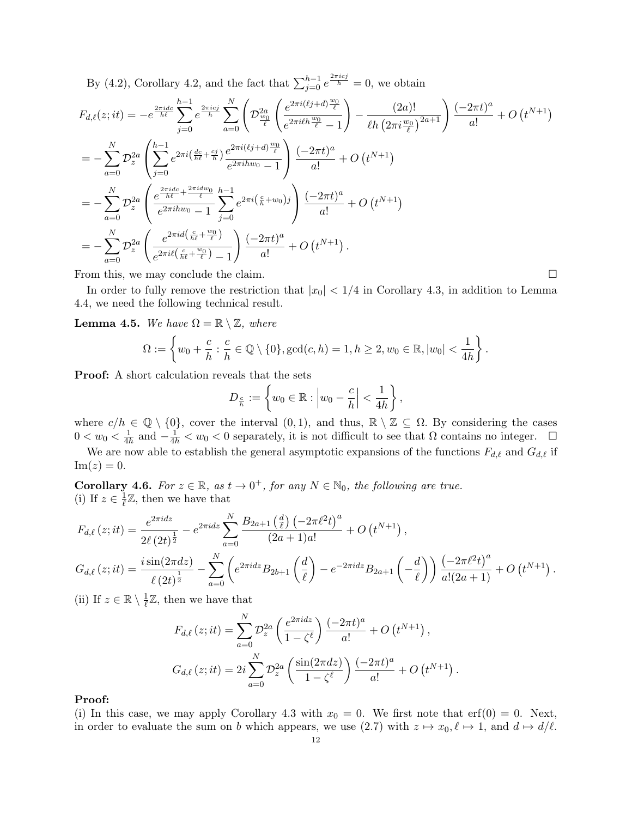By (4.2), Corollary 4.2, and the fact that  $\sum_{j=0}^{h-1} e^{\frac{2\pi i c_j}{h}} = 0$ , we obtain

$$
F_{d,\ell}(z;it) = -e^{\frac{2\pi i dc}{\hbar}} \sum_{j=0}^{h-1} e^{\frac{2\pi i cj}{\hbar}} \sum_{a=0}^{N} \left( \mathcal{D}_{\frac{w_0}{\ell}}^{2a} \left( \frac{e^{2\pi i (\ell j + d) \frac{w_0}{\ell}}}{e^{2\pi i \ell h \frac{w_0}{\ell}} - 1} \right) - \frac{(2a)!}{\ell h \left( 2\pi i \frac{w_0}{\ell} \right)^{2a+1}} \right) \frac{(-2\pi t)^a}{a!} + O(t^{N+1})
$$
  
\n
$$
= -\sum_{a=0}^{N} \mathcal{D}_z^{2a} \left( \sum_{j=0}^{h-1} e^{2\pi i \left( \frac{dc}{\hbar \ell} + \frac{cj}{\hbar} \right)} \frac{e^{2\pi i (\ell j + d) \frac{w_0}{\ell}}}{e^{2\pi i h w_0} - 1} \right) \frac{(-2\pi t)^a}{a!} + O(t^{N+1})
$$
  
\n
$$
= -\sum_{a=0}^{N} \mathcal{D}_z^{2a} \left( \frac{e^{\frac{2\pi i dc}{\hbar \ell} + \frac{2\pi i dw_0}{\ell}}}{e^{2\pi i h w_0} - 1} \sum_{j=0}^{N} e^{2\pi i (\frac{c}{\hbar} + w_0) j} \right) \frac{(-2\pi t)^a}{a!} + O(t^{N+1})
$$
  
\n
$$
= -\sum_{a=0}^{N} \mathcal{D}_z^{2a} \left( \frac{e^{2\pi i d (\frac{c}{\hbar \ell} + \frac{w_0}{\ell})}}{e^{2\pi i \ell (\frac{c}{\hbar \ell} + \frac{w_0}{\ell})} - 1} \right) \frac{(-2\pi t)^a}{a!} + O(t^{N+1}).
$$

From this, we may conclude the claim.

In order to fully remove the restriction that  $|x_0|$  < 1/4 in Corollary 4.3, in addition to Lemma 4.4, we need the following technical result.

**Lemma 4.5.** *We have*  $\Omega = \mathbb{R} \setminus \mathbb{Z}$ *, where* 

$$
\Omega := \left\{ w_0 + \frac{c}{h} : \frac{c}{h} \in \mathbb{Q} \setminus \{0\}, \gcd(c, h) = 1, h \ge 2, w_0 \in \mathbb{R}, |w_0| < \frac{1}{4h} \right\}.
$$

**Proof:** A short calculation reveals that the sets

$$
D_{\frac{c}{h}} := \left\{ w_0 \in \mathbb{R} : \left| w_0 - \frac{c}{h} \right| < \frac{1}{4h} \right\},\
$$

where  $c/h \in \mathbb{Q} \setminus \{0\}$ , cover the interval  $(0,1)$ , and thus,  $\mathbb{R} \setminus \mathbb{Z} \subseteq \Omega$ . By considering the cases  $0 < w_0 < \frac{1}{4l}$  $\frac{1}{4h}$  and  $-\frac{1}{4h} < w_0 < 0$  separately, it is not difficult to see that Ω contains no integer. □

We are now able to establish the general asymptotic expansions of the functions  $F_{d,\ell}$  and  $G_{d,\ell}$  if  $\text{Im}(z) = 0.$ 

**Corollary 4.6.** *For*  $z \in \mathbb{R}$ *, as*  $t \to 0^+$ *, for any*  $N \in \mathbb{N}_0$ *, the following are true.* (i) If  $z \in \frac{1}{\ell}$  $\frac{1}{\ell} \mathbb{Z}$ , then we have that

$$
F_{d,\ell}(z;it) = \frac{e^{2\pi i dz}}{2\ell (2t)^{\frac{1}{2}}} - e^{2\pi i dz} \sum_{a=0}^{N} \frac{B_{2a+1}(\frac{d}{\ell}) (-2\pi \ell^{2} t)^{a}}{(2a+1)a!} + O(t^{N+1}),
$$
  
\n
$$
G_{d,\ell}(z;it) = \frac{i \sin(2\pi dz)}{\ell (2t)^{\frac{1}{2}}} - \sum_{a=0}^{N} \left( e^{2\pi i dz} B_{2b+1}(\frac{d}{\ell}) - e^{-2\pi i dz} B_{2a+1}(-\frac{d}{\ell}) \right) \frac{(-2\pi \ell^{2} t)^{a}}{a!(2a+1)} + O(t^{N+1}).
$$

(ii) If  $z \in \mathbb{R} \setminus \frac{1}{\ell}$  $\frac{1}{\ell} \mathbb{Z}$ , then we have that

$$
F_{d,\ell}(z;it) = \sum_{a=0}^{N} \mathcal{D}_z^{2a} \left( \frac{e^{2\pi i dz}}{1 - \zeta^{\ell}} \right) \frac{(-2\pi t)^a}{a!} + O(t^{N+1}),
$$
  

$$
G_{d,\ell}(z;it) = 2i \sum_{a=0}^{N} \mathcal{D}_z^{2a} \left( \frac{\sin(2\pi dz)}{1 - \zeta^{\ell}} \right) \frac{(-2\pi t)^a}{a!} + O(t^{N+1}).
$$

**Proof:**

(i) In this case, we may apply Corollary 4.3 with  $x_0 = 0$ . We first note that erf(0) = 0. Next, in order to evaluate the sum on *b* which appears, we use  $(2.7)$  with  $z \mapsto x_0, \ell \mapsto 1$ , and  $d \mapsto d/\ell$ .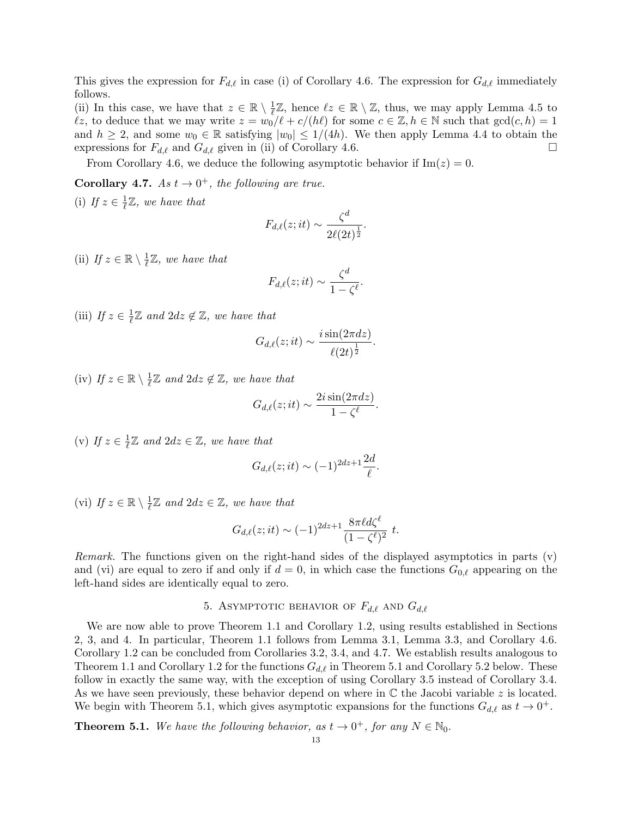This gives the expression for  $F_{d,\ell}$  in case (i) of Corollary 4.6. The expression for  $G_{d,\ell}$  immediately follows.

(ii) In this case, we have that  $z \in \mathbb{R} \setminus \frac{1}{\ell}$  $\frac{1}{\ell} \mathbb{Z}$ , hence  $\ell z \in \mathbb{R} \setminus \mathbb{Z}$ , thus, we may apply Lemma 4.5 to  $\ell z$ *,* to deduce that we may write  $z = w_0/\ell + c/(h\ell)$  for some  $c \in \mathbb{Z}, h \in \mathbb{N}$  such that  $gcd(c, h) = 1$ and  $h \geq 2$ , and some  $w_0 \in \mathbb{R}$  satisfying  $|w_0| \leq 1/(4h)$ . We then apply Lemma 4.4 to obtain the expressions for  $F_{d,\ell}$  and  $G_{d,\ell}$  given in (ii) of Corollary 4.6.

From Corollary 4.6, we deduce the following asymptotic behavior if  $\text{Im}(z) = 0$ .

**Corollary 4.7.** *As*  $t \to 0^+$ *, the following are true.*  $1\pi$ 

(i) If 
$$
z \in \frac{1}{\ell} \mathbb{Z}
$$
, we have that

$$
F_{d,\ell}(z;it) \sim \frac{\zeta^d}{2\ell(2t)^{\frac{1}{2}}}.
$$

(ii) *If*  $z \in \mathbb{R} \setminus \frac{1}{\ell}$  $\frac{1}{\ell} \mathbb{Z}$ *, we have that* 

$$
F_{d,\ell}(z;it) \sim \frac{\zeta^d}{1-\zeta^{\ell}}.
$$

(iii) *If*  $z \in \frac{1}{\ell}$  $\frac{1}{\ell} \mathbb{Z}$  and  $2dz \notin \mathbb{Z}$ , we have that

$$
G_{d,\ell}(z;it) \sim \frac{i \sin(2\pi dz)}{\ell(2t)^{\frac{1}{2}}}.
$$

 $(iv)$  *If*  $z \in \mathbb{R} \setminus \frac{1}{\ell}$  $\frac{1}{\ell} \mathbb{Z}$  and  $2dz \notin \mathbb{Z}$ , we have that

$$
G_{d,\ell}(z;it) \sim \frac{2i\sin(2\pi dz)}{1-\zeta^{\ell}}.
$$

 $(v)$  *If*  $z \in \frac{1}{\ell}$  $\frac{1}{\ell} \mathbb{Z}$  and  $2dz \in \mathbb{Z}$ , we have that

$$
G_{d,\ell}(z;it) \sim (-1)^{2dz+1} \frac{2d}{\ell}.
$$

 $(vi)$  *If*  $z \in \mathbb{R} \setminus \frac{1}{\ell}$  $\frac{1}{\ell} \mathbb{Z}$  and  $2dz \in \mathbb{Z}$ , we have that

$$
G_{d,\ell}(z;it) \sim (-1)^{2dz+1} \frac{8\pi \ell d\zeta^{\ell}}{(1-\zeta^{\ell})^2} t.
$$

*Remark.* The functions given on the right-hand sides of the displayed asymptotics in parts (v) and (vi) are equal to zero if and only if  $d = 0$ , in which case the functions  $G_{0,\ell}$  appearing on the left-hand sides are identically equal to zero.

# 5. ASYMPTOTIC BEHAVIOR OF  $F_{d,\ell}$  AND  $G_{d,\ell}$

We are now able to prove Theorem 1.1 and Corollary 1.2, using results established in Sections 2, 3, and 4. In particular, Theorem 1.1 follows from Lemma 3.1, Lemma 3.3, and Corollary 4.6. Corollary 1.2 can be concluded from Corollaries 3.2, 3.4, and 4.7. We establish results analogous to Theorem 1.1 and Corollary 1.2 for the functions *Gd,ℓ* in Theorem 5.1 and Corollary 5.2 below. These follow in exactly the same way, with the exception of using Corollary 3.5 instead of Corollary 3.4. As we have seen previously, these behavior depend on where in C the Jacobi variable *z* is located. We begin with Theorem 5.1, which gives asymptotic expansions for the functions  $G_{d,\ell}$  as  $t \to 0^+$ .

**Theorem 5.1.** We have the following behavior, as  $t \to 0^+$ , for any  $N \in \mathbb{N}_0$ .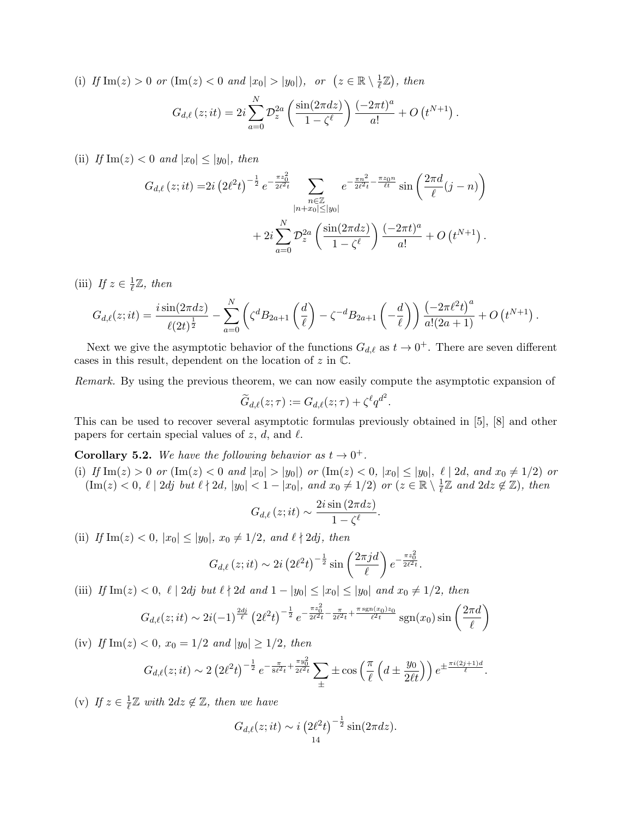(i) If  $\text{Im}(z) > 0$  or  $(\text{Im}(z) < 0$  and  $|x_0| > |y_0|$ , or  $(z \in \mathbb{R} \setminus \frac{1}{\ell})$  $(\frac{1}{\ell}\mathbb{Z})$ , then

$$
G_{d,\ell}(z;it) = 2i \sum_{a=0}^{N} \mathcal{D}_z^{2a} \left( \frac{\sin(2\pi dz)}{1 - \zeta^{\ell}} \right) \frac{(-2\pi t)^a}{a!} + O(t^{N+1}).
$$

(ii) *If*  $\text{Im}(z) < 0$  *and*  $|x_0| \leq |y_0|$ *, then* 

$$
G_{d,\ell}(z;it) = 2i \left(2\ell^2 t\right)^{-\frac{1}{2}} e^{-\frac{\pi z_0^2}{2\ell^2 t}} \sum_{\substack{n \in \mathbb{Z} \\ |n+x_0| \le |y_0|}} e^{-\frac{\pi n^2}{2\ell^2 t} - \frac{\pi z_0 n}{\ell t}} \sin\left(\frac{2\pi d}{\ell}(j-n)\right)
$$

$$
+ 2i \sum_{a=0}^N \mathcal{D}_z^{2a} \left(\frac{\sin(2\pi dz)}{1 - \zeta^{\ell}}\right) \frac{(-2\pi t)^a}{a!} + O\left(t^{N+1}\right).
$$

(iii) *If*  $z \in \frac{1}{\ell}$ *ℓ* Z*, then*

$$
G_{d,\ell}(z;it) = \frac{i \sin(2\pi dz)}{\ell(2t)^{\frac{1}{2}}} - \sum_{a=0}^{N} \left( \zeta^{d} B_{2a+1} \left( \frac{d}{\ell} \right) - \zeta^{-d} B_{2a+1} \left( -\frac{d}{\ell} \right) \right) \frac{\left( -2\pi \ell^{2} t \right)^{a}}{a!(2a+1)} + O\left(t^{N+1}\right).
$$

Next we give the asymptotic behavior of the functions  $G_{d,\ell}$  as  $t \to 0^+$ . There are seven different cases in this result, dependent on the location of *z* in C.

*Remark.* By using the previous theorem, we can now easily compute the asymptotic expansion of

$$
\widetilde{G}_{d,\ell}(z;\tau) := G_{d,\ell}(z;\tau) + \zeta^{\ell}q^{d^2}.
$$

This can be used to recover several asymptotic formulas previously obtained in [5], [8] and other papers for certain special values of  $z$ ,  $d$ , and  $\ell$ .

**Corollary 5.2.** We have the following behavior as  $t \to 0^+$ .

(i) If  $\text{Im}(z) > 0$  or  $(\text{Im}(z) < 0$  and  $|x_0| > |y_0|)$  or  $(\text{Im}(z) < 0, |x_0| \le |y_0|, \ell \mid 2d,$  and  $x_0 \ne 1/2)$  or  $(\text{Im}(z) < 0, \ell \mid 2dj \text{ but } \ell \nmid 2d, |y_0| < 1 - |x_0|, \text{ and } x_0 \neq 1/2 \text{) or } (z \in \mathbb{R} \setminus \frac{1}{\ell})$  $\frac{1}{\ell} \mathbb{Z}$  and  $2dz \notin \mathbb{Z}$ ), then

$$
G_{d,\ell}\left(z;it\right) \sim \frac{2i\sin\left(2\pi dz\right)}{1-\zeta^{\ell}}
$$

*.*

(ii) *If*  $\text{Im}(z) < 0$ ,  $|x_0| \le |y_0|$ ,  $x_0 \ne 1/2$ , and  $\ell \nmid 2dj$ , then

$$
G_{d,\ell}(z;it) \sim 2i \left(2\ell^2 t\right)^{-\frac{1}{2}} \sin\left(\frac{2\pi j d}{\ell}\right) e^{-\frac{\pi z_0^2}{2\ell^2 t}}.
$$

(iii) If Im(z) < 0,  $\ell$  | 2dj but  $\ell \nmid 2d$  and  $1 - |y_0| \leq |x_0| \leq |y_0|$  and  $x_0 \neq 1/2$ , then

$$
G_{d,\ell}(z;it) \sim 2i(-1)^{\frac{2dj}{\ell}} \left(2\ell^2 t\right)^{-\frac{1}{2}} e^{-\frac{\pi z_0^2}{2\ell^2 t} - \frac{\pi}{2\ell^2 t} + \frac{\pi \operatorname{sgn}(x_0) z_0}{\ell^2 t}} \operatorname{sgn}(x_0) \sin\left(\frac{2\pi d}{\ell}\right)
$$

(iv) *If*  $\text{Im}(z) < 0$ ,  $x_0 = 1/2$  *and*  $|y_0| \geq 1/2$ , *then* 

$$
G_{d,\ell}(z;it) \sim 2\left(2\ell^2 t\right)^{-\frac{1}{2}} e^{-\frac{\pi}{8\ell^2 t} + \frac{\pi y_0^2}{2\ell^2 t}} \sum_{\pm} \pm \cos\left(\frac{\pi}{\ell} \left(d \pm \frac{y_0}{2\ell t}\right)\right) e^{\pm \frac{\pi i (2j+1)d}{\ell}}.
$$

 $(v)$  *If*  $z \in \frac{1}{\ell}$ *ℓ* Z *with* 2*dz ̸∈* Z*, then we have*

$$
G_{d,\ell}(z;it) \sim i \left(2\ell^2 t\right)^{-\frac{1}{2}} \sin(2\pi dz).
$$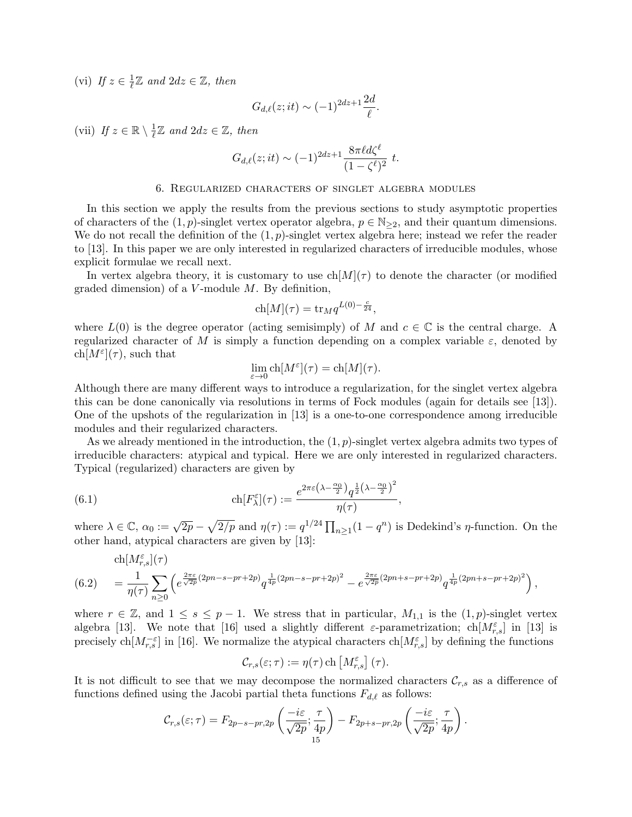(vi) *If*  $z \in \frac{1}{\ell}$  $\frac{1}{\ell} \mathbb{Z}$  and  $2dz \in \mathbb{Z}$ , then

$$
G_{d,\ell}(z;it) \sim (-1)^{2dz+1} \frac{2d}{\ell}.
$$

(vii) *If*  $z \in \mathbb{R} \setminus \frac{1}{\ell}$  $\frac{1}{\ell} \mathbb{Z}$  and  $2dz \in \mathbb{Z}$ , then

$$
G_{d,\ell}(z;it) \sim (-1)^{2dz+1} \frac{8\pi \ell d\zeta^{\ell}}{(1-\zeta^{\ell})^2} \; t.
$$

### 6. Regularized characters of singlet algebra modules

In this section we apply the results from the previous sections to study asymptotic properties of characters of the  $(1, p)$ -singlet vertex operator algebra,  $p \in \mathbb{N}_{\geq 2}$ , and their quantum dimensions. We do not recall the definition of the  $(1, p)$ -singlet vertex algebra here; instead we refer the reader to [13]. In this paper we are only interested in regularized characters of irreducible modules, whose explicit formulae we recall next.

In vertex algebra theory, it is customary to use  $\text{ch}[M](\tau)$  to denote the character (or modified graded dimension) of a *V* -module *M*. By definition,

$$
ch[M](\tau) = \text{tr}_M q^{L(0) - \frac{c}{24}},
$$

where  $L(0)$  is the degree operator (acting semisimply) of *M* and  $c \in \mathbb{C}$  is the central charge. A regularized character of *M* is simply a function depending on a complex variable *ε*, denoted by  $\text{ch}[M^{\varepsilon}](\tau)$ , such that

$$
\lim_{\varepsilon \to 0} \mathrm{ch}[M^{\varepsilon}](\tau) = \mathrm{ch}[M](\tau).
$$

Although there are many different ways to introduce a regularization, for the singlet vertex algebra this can be done canonically via resolutions in terms of Fock modules (again for details see [13]). One of the upshots of the regularization in [13] is a one-to-one correspondence among irreducible modules and their regularized characters.

As we already mentioned in the introduction, the (1*, p*)-singlet vertex algebra admits two types of irreducible characters: atypical and typical. Here we are only interested in regularized characters. Typical (regularized) characters are given by

(6.1) 
$$
\operatorname{ch}[F_{\lambda}^{\varepsilon}](\tau) := \frac{e^{2\pi\varepsilon(\lambda - \frac{\alpha_0}{2})}q^{\frac{1}{2}(\lambda - \frac{\alpha_0}{2})^2}}{\eta(\tau)},
$$

where  $\lambda \in \mathbb{C}$ ,  $\alpha_0 := \sqrt{2p} - \sqrt{2/p}$  and  $\eta(\tau) := q^{1/24} \prod_{n \geq 1} (1 - q^n)$  is Dedekind's *η*-function. On the other hand, atypical characters are given by [13]:

$$
\text{(6.2)} \quad\n \begin{aligned}\n &\text{ch}[M_{r,s}^{\varepsilon}](\tau) \\
&= \frac{1}{\eta(\tau)} \sum_{n\geq 0} \left( e^{\frac{2\pi\varepsilon}{\sqrt{2p}}(2pn - s - pr + 2p)} q^{\frac{1}{4p}(2pn - s - pr + 2p)^2} - e^{\frac{2\pi\varepsilon}{\sqrt{2p}}(2pn + s - pr + 2p)} q^{\frac{1}{4p}(2pn + s - pr + 2p)^2} \right),\n \end{aligned}
$$

where  $r \in \mathbb{Z}$ , and  $1 \leq s \leq p-1$ . We stress that in particular,  $M_{1,1}$  is the  $(1,p)$ -singlet vertex algebra [13]. We note that [16] used a slightly different *ε*-parametrization; ch $[M_{r,s}^{\varepsilon}]$  in [13] is precisely ch $[M_{r,s}^{-\varepsilon}]$  in [16]. We normalize the atypical characters ch $[M_{r,s}^{\varepsilon}]$  by defining the functions

$$
\mathcal{C}_{r,s}(\varepsilon;\tau) := \eta(\tau) \operatorname{ch} \left[ M_{r,s}^{\varepsilon} \right](\tau).
$$

It is not difficult to see that we may decompose the normalized characters  $\mathcal{C}_{r,s}$  as a difference of functions defined using the Jacobi partial theta functions  $F_{d,\ell}$  as follows:

$$
C_{r,s}(\varepsilon;\tau)=F_{2p-s-pr,2p}\left(\frac{-i\varepsilon}{\sqrt{2p}};\frac{\tau}{4p}\right)-F_{2p+s-pr,2p}\left(\frac{-i\varepsilon}{\sqrt{2p}};\frac{\tau}{4p}\right).
$$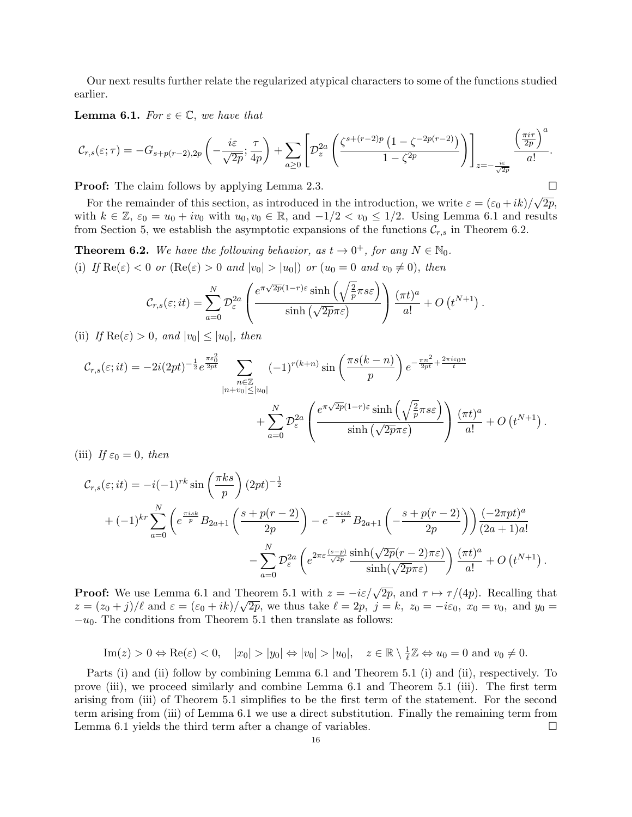Our next results further relate the regularized atypical characters to some of the functions studied earlier.

**Lemma 6.1.** *For*  $\varepsilon \in \mathbb{C}$ *, we have that* 

$$
\mathcal{C}_{r,s}(\varepsilon;\tau) = -G_{s+p(r-2),2p}\left(-\frac{i\varepsilon}{\sqrt{2p}};\frac{\tau}{4p}\right) + \sum_{a\geq 0} \left[\mathcal{D}_z^{2a}\left(\frac{\zeta^{s+(r-2)p}\left(1-\zeta^{-2p(r-2)}\right)}{1-\zeta^{2p}}\right)\right]_{z=-\frac{i\varepsilon}{\sqrt{2p}}}\frac{\left(\frac{\pi i\tau}{2p}\right)^a}{a!}.
$$

)*a*

**Proof:** The claim follows by applying Lemma 2.3. □

For the remainder of this section, as introduced in the introduction, we write  $\varepsilon = (\varepsilon_0 + ik)/\sqrt{2p}$ , with  $k \in \mathbb{Z}$ ,  $\varepsilon_0 = u_0 + iv_0$  with  $u_0, v_0 \in \mathbb{R}$ , and  $-1/2 < v_0 \le 1/2$ . Using Lemma 6.1 and results from Section 5, we establish the asymptotic expansions of the functions  $\mathcal{C}_{r,s}$  in Theorem 6.2.

**Theorem 6.2.** We have the following behavior, as  $t \to 0^+$ , for any  $N \in \mathbb{N}_0$ . (i) *If*  $\text{Re}(\varepsilon) < 0$  *or*  $(\text{Re}(\varepsilon) > 0$  *and*  $|v_0| > |u_0|)$  *or*  $(u_0 = 0$  *and*  $v_0 \neq 0)$ *, then* 

$$
C_{r,s}(\varepsilon;it) = \sum_{a=0}^N \mathcal{D}_{\varepsilon}^{2a} \left( \frac{e^{\pi\sqrt{2p}(1-r)\varepsilon} \sinh\left(\sqrt{\frac{2}{p}}\pi s\varepsilon\right)}{\sinh\left(\sqrt{2p}\pi\varepsilon\right)} \right) \frac{(\pi t)^a}{a!} + O\left(t^{N+1}\right).
$$

(ii) *If*  $\text{Re}(\varepsilon) > 0$ *, and*  $|v_0| \leq |u_0|$ *, then* 

$$
\mathcal{C}_{r,s}(\varepsilon;it) = -2i(2pt)^{-\frac{1}{2}}e^{\frac{\pi\varepsilon_0^2}{2pt}} \sum_{\substack{n\in\mathbb{Z} \\ |n+v_0|\leq |u_0|}} (-1)^{r(k+n)} \sin\left(\frac{\pi s(k-n)}{p}\right) e^{-\frac{\pi n^2}{2pt} + \frac{2\pi i\varepsilon_0 n}{t}} + \sum_{a=0}^N \mathcal{D}_{\varepsilon}^{2a} \left(\frac{e^{\pi\sqrt{2p}(1-r)\varepsilon} \sinh\left(\sqrt{\frac{2}{p}}\pi s\varepsilon\right)}{\sinh\left(\sqrt{2p}\pi\varepsilon\right)}\right) \frac{(\pi t)^a}{a!} + O\left(t^{N+1}\right).
$$

(iii) *If*  $\varepsilon_0 = 0$ *, then* 

$$
\mathcal{C}_{r,s}(\varepsilon;it) = -i(-1)^{rk} \sin\left(\frac{\pi ks}{p}\right) (2pt)^{-\frac{1}{2}}
$$
  
+  $(-1)^{kr} \sum_{a=0}^{N} \left(e^{\frac{\pi isk}{p}} B_{2a+1}\left(\frac{s+p(r-2)}{2p}\right) - e^{-\frac{\pi isk}{p}} B_{2a+1}\left(-\frac{s+p(r-2)}{2p}\right)\right) \frac{(-2\pi pt)^a}{(2a+1)a!}$   
- 
$$
\sum_{a=0}^{N} \mathcal{D}_{\varepsilon}^{2a} \left(e^{2\pi \varepsilon \frac{(s-p)}{\sqrt{2p}}}\frac{\sinh(\sqrt{2p}(r-2)\pi\varepsilon)}{\sinh(\sqrt{2p}\pi\varepsilon)}\right) \frac{(\pi t)^a}{a!} + O(t^{N+1}).
$$

**Proof:** We use Lemma 6.1 and Theorem 5.1 with  $z = -i\varepsilon/\sqrt{2p}$ , and  $\tau \mapsto \tau/(4p)$ . Recalling that  $z = (z_0 + j)/\ell$  and  $\varepsilon = (\varepsilon_0 + ik)/\sqrt{2p}$ , we thus take  $\ell = 2p$ ,  $j = k$ ,  $z_0 = -i\varepsilon_0$ ,  $x_0 = v_0$ , and  $y_0 =$ *−u*0*.* The conditions from Theorem 5.1 then translate as follows:

$$
\text{Im}(z) > 0 \Leftrightarrow \text{Re}(\varepsilon) < 0, \quad |x_0| > |y_0| \Leftrightarrow |v_0| > |u_0|, \quad z \in \mathbb{R} \setminus \frac{1}{\ell} \mathbb{Z} \Leftrightarrow u_0 = 0 \text{ and } v_0 \neq 0.
$$

Parts (i) and (ii) follow by combining Lemma 6.1 and Theorem 5.1 (i) and (ii), respectively. To prove (iii), we proceed similarly and combine Lemma 6.1 and Theorem 5.1 (iii). The first term arising from (iii) of Theorem 5.1 simplifies to be the first term of the statement. For the second term arising from (iii) of Lemma 6.1 we use a direct substitution. Finally the remaining term from Lemma 6.1 yields the third term after a change of variables.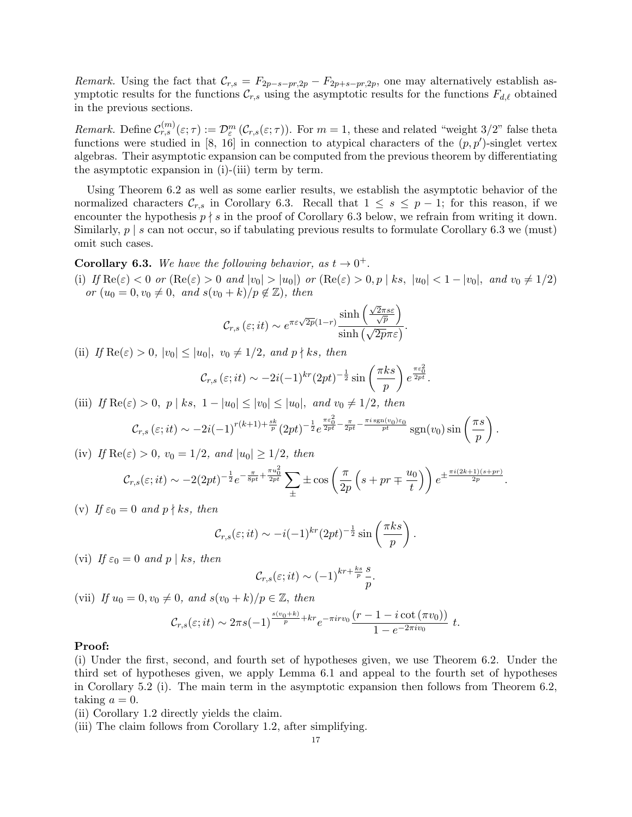*Remark.* Using the fact that  $\mathcal{C}_{r,s} = F_{2p-s-pr,2p} - F_{2p+s-pr,2p}$ , one may alternatively establish asymptotic results for the functions  $\mathcal{C}_{r,s}$  using the asymptotic results for the functions  $F_{d,\ell}$  obtained in the previous sections.

*Remark.* Define  $\mathcal{C}_{r,s}^{(m)}(\varepsilon;\tau) := \mathcal{D}_{\varepsilon}^m(\mathcal{C}_{r,s}(\varepsilon;\tau))$ . For  $m=1$ , these and related "weight 3/2" false theta functions were studied in [8, 16] in connection to atypical characters of the (*p, p′* )-singlet vertex algebras. Their asymptotic expansion can be computed from the previous theorem by differentiating the asymptotic expansion in (i)-(iii) term by term.

Using Theorem 6.2 as well as some earlier results, we establish the asymptotic behavior of the normalized characters  $\mathcal{C}_{r,s}$  in Corollary 6.3. Recall that  $1 \leq s \leq p-1$ ; for this reason, if we encounter the hypothesis  $p \nmid s$  in the proof of Corollary 6.3 below, we refrain from writing it down. Similarly,  $p \mid s$  can not occur, so if tabulating previous results to formulate Corollary 6.3 we (must) omit such cases.

**Corollary 6.3.** We have the following behavior, as  $t \to 0^+$ .

(i) If  $\text{Re}(\varepsilon) < 0$  or  $(\text{Re}(\varepsilon) > 0$  and  $|v_0| > |u_0|)$  or  $(\text{Re}(\varepsilon) > 0, p \mid ks, |u_0| < 1 - |v_0|,$  and  $v_0 \neq 1/2)$ *or*  $(u_0 = 0, v_0 \neq 0, \text{ and } s(v_0 + k)/p \notin \mathbb{Z}$ , then

$$
\mathcal{C}_{r,s}\left(\varepsilon; it\right) \sim e^{\pi \varepsilon \sqrt{2p}(1-r)} \frac{\sinh\left(\frac{\sqrt{2}\pi s\varepsilon}{\sqrt{p}}\right)}{\sinh\left(\sqrt{2p}\pi\varepsilon\right)}.
$$

(ii) *If*  $\text{Re}(\varepsilon) > 0$ ,  $|v_0| \leq |u_0|$ ,  $v_0 \neq 1/2$ , and  $p \nmid ks$ , then

$$
\mathcal{C}_{r,s}\left(\varepsilon;it\right)\sim-2i(-1)^{kr}(2pt)^{-\frac{1}{2}}\sin\left(\frac{\pi ks}{p}\right)e^{\frac{\pi\varepsilon_0^2}{2pt}}.
$$

(iii) *If*  $\text{Re}(\varepsilon) > 0$ , *p* | *ks*,  $1 - |u_0| \le |v_0| \le |u_0|$ , and  $v_0 \ne 1/2$ , then

$$
\mathcal{C}_{r,s}\left(\varepsilon;it\right) \sim -2i(-1)^{r(k+1)+\frac{sk}{p}}(2pt)^{-\frac{1}{2}}e^{\frac{\pi\varepsilon_0^2}{2pt}-\frac{\pi}{2pt}-\frac{\pi i\operatorname{sgn}(v_0)\varepsilon_0}{pt}}\operatorname{sgn}(v_0)\sin\left(\frac{\pi s}{p}\right).
$$

(iv) *If*  $\text{Re}(\varepsilon) > 0$ *,*  $v_0 = 1/2$ *, and*  $|u_0| \geq 1/2$ *, then* 

$$
\mathcal{C}_{r,s}(\varepsilon;it) \sim -2(2pt)^{-\frac{1}{2}}e^{-\frac{\pi}{8pt}+\frac{\pi u_0^2}{2pt}}\sum_{\pm} \pm \cos\left(\frac{\pi}{2p}\left(s+pr\mp\frac{u_0}{t}\right)\right)e^{\pm\frac{\pi i(2k+1)(s+pr)}{2p}}.
$$

(v) If  $\varepsilon_0 = 0$  and  $p \nmid ks$ , then

$$
C_{r,s}(\varepsilon; it) \sim -i(-1)^{kr} (2pt)^{-\frac{1}{2}} \sin\left(\frac{\pi ks}{p}\right).
$$

(vi) If  $\varepsilon_0 = 0$  and  $p \mid ks$ , then

$$
\mathcal{C}_{r,s}(\varepsilon;it) \sim (-1)^{kr + \frac{ks}{p}} \frac{s}{p}.
$$

(vii) *If*  $u_0 = 0, v_0 \neq 0$ *, and*  $s(v_0 + k)/p \in \mathbb{Z}$ *, then* 

$$
\mathcal{C}_{r,s}(\varepsilon;it) \sim 2\pi s(-1)^{\frac{s(v_0+k)}{p}+kr} e^{-\pi i r v_0} \frac{(r-1-i \cot(\pi v_0))}{1-e^{-2\pi i v_0}} t.
$$

### **Proof:**

(i) Under the first, second, and fourth set of hypotheses given, we use Theorem 6.2. Under the third set of hypotheses given, we apply Lemma 6.1 and appeal to the fourth set of hypotheses in Corollary 5.2 (i). The main term in the asymptotic expansion then follows from Theorem 6.2, taking  $a = 0$ .

- (ii) Corollary 1.2 directly yields the claim.
- (iii) The claim follows from Corollary 1.2, after simplifying.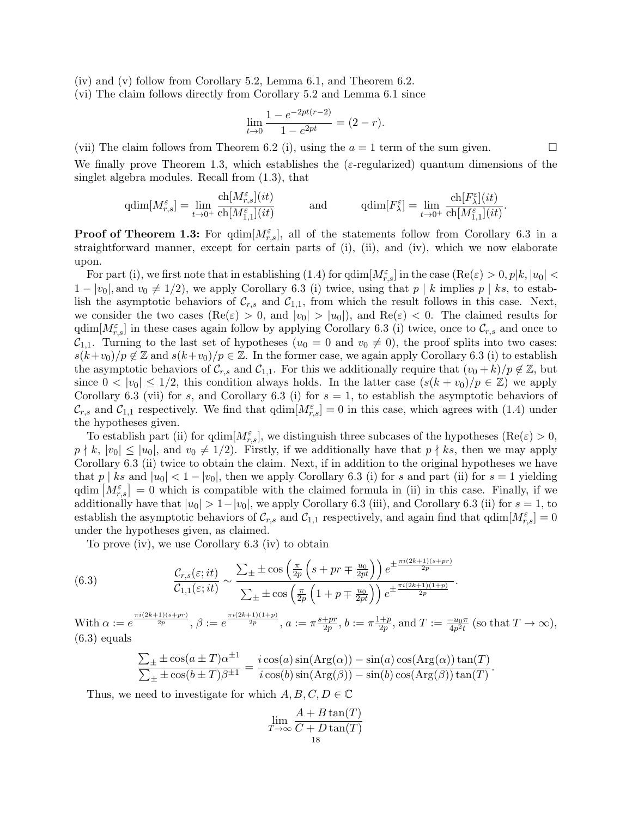- (iv) and (v) follow from Corollary 5.2, Lemma 6.1, and Theorem 6.2.
- (vi) The claim follows directly from Corollary 5.2 and Lemma 6.1 since

$$
\lim_{t \to 0} \frac{1 - e^{-2pt(r-2)}}{1 - e^{2pt}} = (2 - r).
$$

(vii) The claim follows from Theorem 6.2 (i), using the  $a = 1$  term of the sum given.

We finally prove Theorem 1.3, which establishes the  $(\varepsilon$ -regularized) quantum dimensions of the singlet algebra modules. Recall from (1.3), that

$$
\mathrm{qdim}[M^\varepsilon_{r,s}]=\lim_{t\to 0^+}\frac{\mathrm{ch}[M^\varepsilon_{r,s}](it)}{\mathrm{ch}[M^\varepsilon_{1,1}](it)}\qquad\qquad\mathrm{and}\qquad\qquad \mathrm{qdim}[F^\varepsilon_\lambda]=\lim_{t\to 0^+}\frac{\mathrm{ch}[F^\varepsilon_\lambda](it)}{\mathrm{ch}[M^\varepsilon_{1,1}](it)}.
$$

**Proof of Theorem 1.3:** For  $\text{qdim}[M_{r,s}^{\varepsilon}]$ , all of the statements follow from Corollary 6.3 in a straightforward manner, except for certain parts of (i), (ii), and (iv), which we now elaborate upon.

For part (i), we first note that in establishing (1.4) for  $\dim[M_{r,s}^{\varepsilon}]$  in the case  $(\text{Re}(\varepsilon) > 0, p|k, |u_0| <$ 1 −  $|v_0|$ , and  $v_0 \neq 1/2$ ), we apply Corollary 6.3 (i) twice, using that  $p \mid k$  implies  $p \mid ks$ , to establish the asymptotic behaviors of  $C_{r,s}$  and  $C_{1,1}$ , from which the result follows in this case. Next, we consider the two cases  $(\text{Re}(\varepsilon) > 0, \text{ and } |v_0| > |u_0|)$ , and  $\text{Re}(\varepsilon) < 0$ . The claimed results for  $\text{qdim}[M_{r,s}^{\varepsilon}]$  in these cases again follow by applying Corollary 6.3 (i) twice, once to  $\mathcal{C}_{r,s}$  and once to  $C_{1,1}$ . Turning to the last set of hypotheses ( $u_0 = 0$  and  $v_0 \neq 0$ ), the proof splits into two cases:  $s(k+v_0)/p \notin \mathbb{Z}$  and  $s(k+v_0)/p \in \mathbb{Z}$ . In the former case, we again apply Corollary 6.3 (i) to establish the asymptotic behaviors of  $\mathcal{C}_{r,s}$  and  $\mathcal{C}_{1,1}$ . For this we additionally require that  $(v_0 + k)/p \notin \mathbb{Z}$ , but since  $0 < |v_0| \leq 1/2$ , this condition always holds. In the latter case  $(s(k + v_0)/p \in \mathbb{Z})$  we apply Corollary 6.3 (vii) for *s*, and Corollary 6.3 (i) for  $s = 1$ , to establish the asymptotic behaviors of  $\mathcal{C}_{r,s}$  and  $\mathcal{C}_{1,1}$  respectively. We find that  $\text{qdim}[M_{r,s}^{\varepsilon}] = 0$  in this case, which agrees with (1.4) under the hypotheses given.

To establish part (ii) for  $\text{qdim}[M_{r,s}^{\varepsilon}],$  we distinguish three subcases of the hypotheses  $(\text{Re}(\varepsilon) > 0,$  $p \nmid k$ ,  $|v_0| \le |u_0|$ , and  $v_0 \neq 1/2$ ). Firstly, if we additionally have that  $p \nmid ks$ , then we may apply Corollary 6.3 (ii) twice to obtain the claim. Next, if in addition to the original hypotheses we have that  $p \mid ks$  and  $|u_0| < 1 - |v_0|$ , then we apply Corollary 6.3 (i) for  $s$  and part (ii) for  $s = 1$  yielding  $qdim\left[M_{r,s}^{\varepsilon}\right]=0$  which is compatible with the claimed formula in (ii) in this case. Finally, if we additionally have that  $|u_0| > 1 - |v_0|$ , we apply Corollary 6.3 (iii), and Corollary 6.3 (ii) for  $s = 1$ , to establish the asymptotic behaviors of  $\mathcal{C}_{r,s}$  and  $\mathcal{C}_{1,1}$  respectively, and again find that  $\text{qdim}[M_{r,s}^{\varepsilon}] = 0$ under the hypotheses given, as claimed.

To prove (iv), we use Corollary 6.3 (iv) to obtain

(6.3) 
$$
\frac{\mathcal{C}_{r,s}(\varepsilon;it)}{\mathcal{C}_{1,1}(\varepsilon;it)} \sim \frac{\sum_{\pm} \pm \cos\left(\frac{\pi}{2p}\left(s+pr \mp \frac{u_0}{2pt}\right)\right)e^{\pm \frac{\pi i (2k+1)(s+pr)}{2p}}}{\sum_{\pm} \pm \cos\left(\frac{\pi}{2p}\left(1+p \mp \frac{u_0}{2pt}\right)\right)e^{\pm \frac{\pi i (2k+1)(1+p)}{2p}}}
$$

 $\text{With } \alpha := e^{\frac{\pi i (2k+1)(s+pr)}{2p}}, \beta := e^{\frac{\pi i (2k+1)(1+p)}{2p}}, \alpha := \pi \frac{s+pr}{2p}$  $\frac{+pr}{2p}, b := \pi \frac{1+p}{2p}$  $\frac{+p}{2p}$ , and  $T := \frac{-u_0 \pi}{4p^2 t}$  (so that  $T \to \infty$ ), (6.3) equals

*.*

$$
\frac{\sum_{\pm} \pm \cos(a \pm T)\alpha^{\pm 1}}{\sum_{\pm} \pm \cos(b \pm T)\beta^{\pm 1}} = \frac{i \cos(a) \sin(\text{Arg}(\alpha)) - \sin(a) \cos(\text{Arg}(\alpha)) \tan(T)}{i \cos(b) \sin(\text{Arg}(\beta)) - \sin(b) \cos(\text{Arg}(\beta)) \tan(T)}.
$$

Thus, we need to investigate for which  $A, B, C, D \in \mathbb{C}$ 

$$
\lim_{T \to \infty} \frac{A + B \tan(T)}{C + D \tan(T)}
$$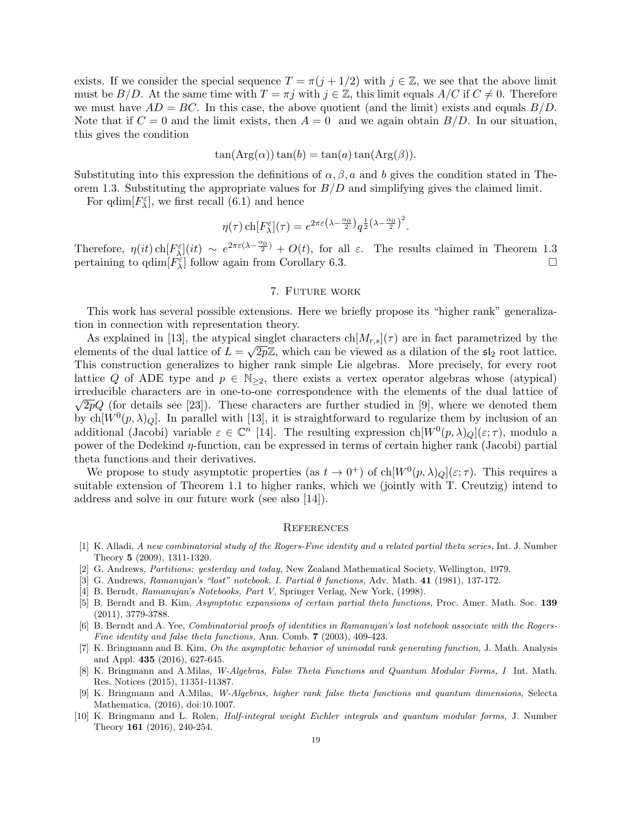exists. If we consider the special sequence  $T = \pi(j + 1/2)$  with  $j \in \mathbb{Z}$ , we see that the above limit must be  $B/D$ . At the same time with  $T = \pi j$  with  $j \in \mathbb{Z}$ , this limit equals  $A/C$  if  $C \neq 0$ . Therefore we must have  $AD = BC$ . In this case, the above quotient (and the limit) exists and equals  $B/D$ . Note that if  $C = 0$  and the limit exists, then  $A = 0$  and we again obtain  $B/D$ . In our situation, this gives the condition

$$
\tan(\text{Arg}(\alpha))\tan(b) = \tan(a)\tan(\text{Arg}(\beta)).
$$

Substituting into this expression the definitions of  $\alpha, \beta, a$  and b gives the condition stated in Theorem 1.3. Substituting the appropriate values for *B/D* and simplifying gives the claimed limit.

For  $\dim[F_{\lambda}^{\varepsilon}]$ , we first recall (6.1) and hence

$$
\eta(\tau) \operatorname{ch}[F_{\lambda}^{\varepsilon}](\tau) = e^{2\pi \varepsilon (\lambda - \frac{\alpha_0}{2})} q^{\frac{1}{2} (\lambda - \frac{\alpha_0}{2})^2}.
$$

Therefore,  $\eta(it)$  ch $[F_{\lambda}^{\varepsilon}](it) \sim e^{2\pi\varepsilon(\lambda - \frac{\alpha_0}{2})} + O(t)$ , for all  $\varepsilon$ . The results claimed in Theorem 1.3 pertaining to  $\text{qdim}[F_{\lambda}^{\varepsilon}]$  follow again from Corollary 6.3.

#### 7. Future work

This work has several possible extensions. Here we briefly propose its "higher rank" generalization in connection with representation theory.

As explained in [13], the atypical singlet characters  $\text{ch}[M_{r,s}](\tau)$  are in fact parametrized by the elements of the dual lattice of  $L = \sqrt{2p}\mathbb{Z}$ , which can be viewed as a dilation of the  $\mathfrak{sl}_2$  root lattice. This construction generalizes to higher rank simple Lie algebras. More precisely, for every root lattice *Q* of ADE type and  $p \in \mathbb{N}_{\geq 2}$ , there exists a vertex operator algebras whose (atypical) irreducible characters are in one-to-one correspondence with the elements of the dual lattice of *√*  $\sqrt{2p}Q$  (for details see [23]). These characters are further studied in [9], where we denoted them by ch $[W^0(p,\lambda)_Q]$ . In parallel with [13], it is straightforward to regularize them by inclusion of an additional (Jacobi) variable  $\varepsilon \in \mathbb{C}^n$  [14]. The resulting expression  $ch[W^0(p, \lambda)_Q](\varepsilon; \tau)$ , modulo a power of the Dedekind *η*-function, can be expressed in terms of certain higher rank (Jacobi) partial theta functions and their derivatives.

We propose to study asymptotic properties (as  $t \to 0^+$ ) of ch $[W^0(p, \lambda)_Q](\varepsilon; \tau)$ . This requires a suitable extension of Theorem 1.1 to higher ranks, which we (jointly with T. Creutzig) intend to address and solve in our future work (see also [14]).

### **REFERENCES**

- [1] K. Alladi, *A new combinatorial study of the Rogers-Fine identity and a related partial theta series,* Int. J. Number Theory **5** (2009), 1311-1320.
- [2] G. Andrews, *Partitions: yesterday and today,* New Zealand Mathematical Society, Wellington, 1979.
- [3] G. Andrews, *Ramanujan's "lost" notebook. I. Partial θ functions,* Adv. Math. **41** (1981), 137-172.
- [4] B. Berndt, *Ramanujan's Notebooks, Part V*, Springer Verlag, New York, (1998).
- [5] B. Berndt and B. Kim, *Asymptotic expansions of certain partial theta functions,* Proc. Amer. Math. Soc. **139** (2011), 3779-3788.
- [6] B. Berndt and A. Yee, *Combinatorial proofs of identities in Ramanujan's lost notebook associate with the Rogers-Fine identity and false theta functions,* Ann. Comb. **7** (2003), 409-423.
- [7] K. Bringmann and B. Kim, *On the asymptotic behavior of unimodal rank generating function,* J. Math. Analysis and Appl. **435** (2016), 627-645.
- [8] K. Bringmann and A.Milas, *W-Algebras, False Theta Functions and Quantum Modular Forms, I* Int. Math. Res. Notices (2015), 11351-11387.
- [9] K. Bringmann and A.Milas, *W-Algebras, higher rank false theta functions and quantum dimensions*, Selecta Mathematica, (2016), doi:10.1007.
- [10] K. Bringmann and L. Rolen, *Half-integral weight Eichler integrals and quantum modular forms,* J. Number Theory **161** (2016), 240-254.